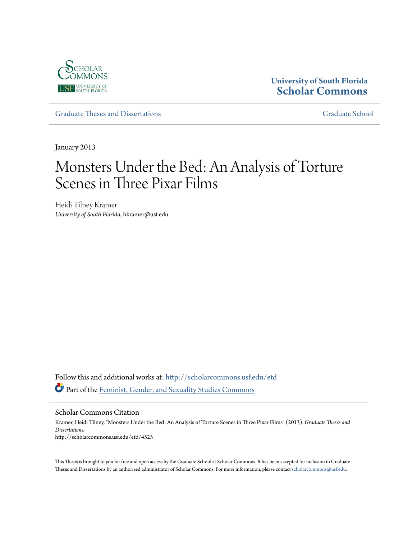

# **University of South Florida [Scholar Commons](http://scholarcommons.usf.edu?utm_source=scholarcommons.usf.edu%2Fetd%2F4525&utm_medium=PDF&utm_campaign=PDFCoverPages)**

[Graduate Theses and Dissertations](http://scholarcommons.usf.edu/etd?utm_source=scholarcommons.usf.edu%2Fetd%2F4525&utm_medium=PDF&utm_campaign=PDFCoverPages) [Graduate School](http://scholarcommons.usf.edu/grad?utm_source=scholarcommons.usf.edu%2Fetd%2F4525&utm_medium=PDF&utm_campaign=PDFCoverPages)

January 2013

# Monsters Under the Bed: An Analysis of Torture Scenes in Three Pixar Films

Heidi Tilney Kramer *University of South Florida*, hkramer@usf.edu

Follow this and additional works at: [http://scholarcommons.usf.edu/etd](http://scholarcommons.usf.edu/etd?utm_source=scholarcommons.usf.edu%2Fetd%2F4525&utm_medium=PDF&utm_campaign=PDFCoverPages) Part of the [Feminist, Gender, and Sexuality Studies Commons](http://network.bepress.com/hgg/discipline/559?utm_source=scholarcommons.usf.edu%2Fetd%2F4525&utm_medium=PDF&utm_campaign=PDFCoverPages)

#### Scholar Commons Citation

Kramer, Heidi Tilney, "Monsters Under the Bed: An Analysis of Torture Scenes in Three Pixar Films" (2013). *Graduate Theses and Dissertations.* http://scholarcommons.usf.edu/etd/4525

This Thesis is brought to you for free and open access by the Graduate School at Scholar Commons. It has been accepted for inclusion in Graduate Theses and Dissertations by an authorized administrator of Scholar Commons. For more information, please contact [scholarcommons@usf.edu.](mailto:scholarcommons@usf.edu)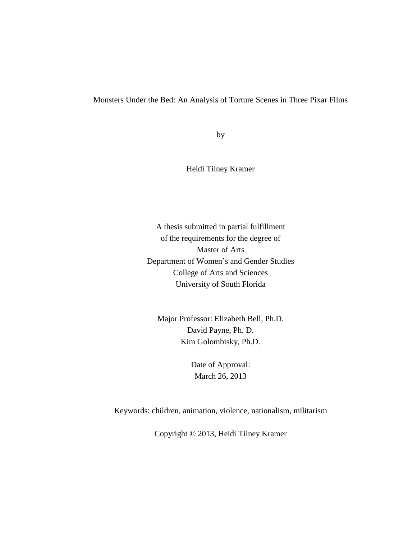#### Monsters Under the Bed: An Analysis of Torture Scenes in Three Pixar Films

by

Heidi Tilney Kramer

A thesis submitted in partial fulfillment of the requirements for the degree of Master of Arts Department of Women's and Gender Studies College of Arts and Sciences University of South Florida

Major Professor: Elizabeth Bell, Ph.D. David Payne, Ph. D. Kim Golombisky, Ph.D.

> Date of Approval: March 26, 2013

Keywords: children, animation, violence, nationalism, militarism

Copyright © 2013, Heidi Tilney Kramer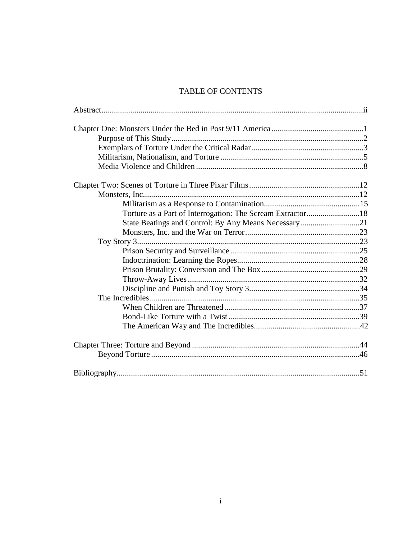# **TABLE OF CONTENTS**

| Torture as a Part of Interrogation: The Scream Extractor18 |  |
|------------------------------------------------------------|--|
| State Beatings and Control: By Any Means Necessary21       |  |
|                                                            |  |
|                                                            |  |
|                                                            |  |
|                                                            |  |
|                                                            |  |
|                                                            |  |
|                                                            |  |
|                                                            |  |
|                                                            |  |
|                                                            |  |
|                                                            |  |
|                                                            |  |
|                                                            |  |
|                                                            |  |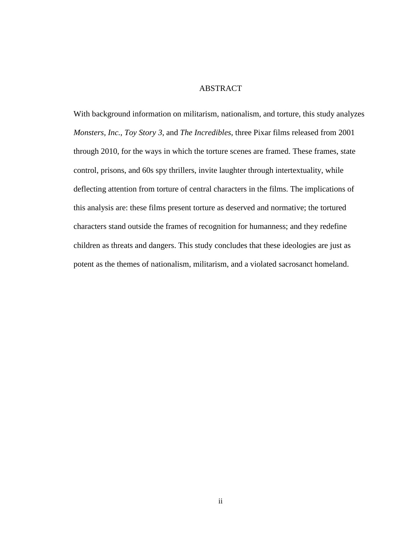# **ABSTRACT**

With background information on militarism, nationalism, and torture, this study analyzes *Monsters, Inc.*, *Toy Story 3*, and *The Incredibles*, three Pixar films released from 2001 through 2010, for the ways in which the torture scenes are framed. These frames, state control, prisons, and 60s spy thrillers, invite laughter through intertextuality, while deflecting attention from torture of central characters in the films. The implications of this analysis are: these films present torture as deserved and normative; the tortured characters stand outside the frames of recognition for humanness; and they redefine children as threats and dangers. This study concludes that these ideologies are just as potent as the themes of nationalism, militarism, and a violated sacrosanct homeland.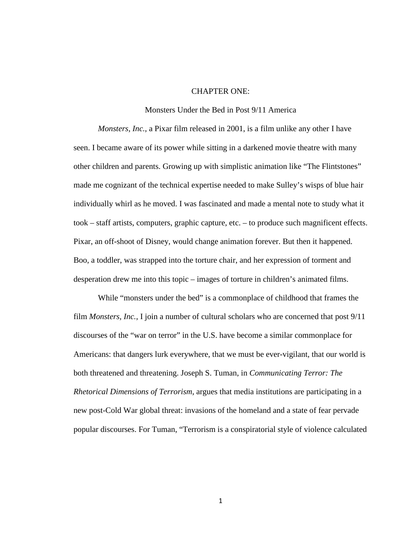## CHAPTER ONE:

#### Monsters Under the Bed in Post 9/11 America

*Monsters, Inc.*, a Pixar film released in 2001, is a film unlike any other I have seen. I became aware of its power while sitting in a darkened movie theatre with many other children and parents. Growing up with simplistic animation like "The Flintstones" made me cognizant of the technical expertise needed to make Sulley's wisps of blue hair individually whirl as he moved. I was fascinated and made a mental note to study what it took – staff artists, computers, graphic capture, etc. – to produce such magnificent effects. Pixar, an off-shoot of Disney, would change animation forever. But then it happened. Boo, a toddler, was strapped into the torture chair, and her expression of torment and desperation drew me into this topic – images of torture in children's animated films.

While "monsters under the bed" is a commonplace of childhood that frames the film *Monsters, Inc.*, I join a number of cultural scholars who are concerned that post  $9/11$ discourses of the "war on terror" in the U.S. have become a similar commonplace for Americans: that dangers lurk everywhere, that we must be ever-vigilant, that our world is both threatened and threatening. Joseph S. Tuman, in *Communicating Terror: The Rhetorical Dimensions of Terrorism*, argues that media institutions are participating in a new post-Cold War global threat: invasions of the homeland and a state of fear pervade popular discourses. For Tuman, "Terrorism is a conspiratorial style of violence calculated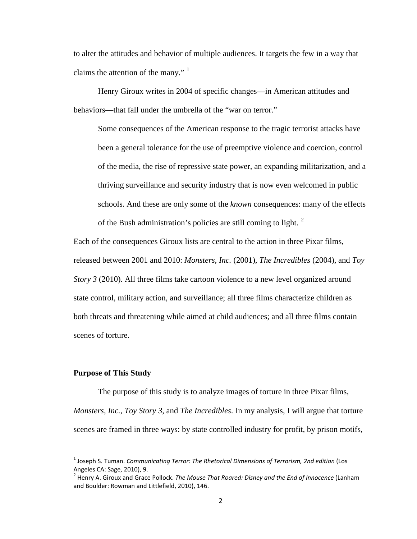to alter the attitudes and behavior of multiple audiences. It targets the few in a way that claims the attention of the many."  $\frac{1}{1}$  $\frac{1}{1}$  $\frac{1}{1}$ 

Henry Giroux writes in 2004 of specific changes—in American attitudes and behaviors—that fall under the umbrella of the "war on terror."

Some consequences of the American response to the tragic terrorist attacks have been a general tolerance for the use of preemptive violence and coercion, control of the media, the rise of repressive state power, an expanding militarization, and a thriving surveillance and security industry that is now even welcomed in public schools. And these are only some of the *known* consequences: many of the effects of the Bush administration's policies are still coming to light.  $2^{\circ}$  $2^{\circ}$ 

Each of the consequences Giroux lists are central to the action in three Pixar films, released between 2001 and 2010: *Monsters, Inc.* (2001), *The Incredibles* (2004), and *Toy Story 3* (2010). All three films take cartoon violence to a new level organized around state control, military action, and surveillance; all three films characterize children as both threats and threatening while aimed at child audiences; and all three films contain scenes of torture.

## **Purpose of This Study**

The purpose of this study is to analyze images of torture in three Pixar films, *Monsters, Inc.*, *Toy Story 3*, and *The Incredibles*. In my analysis, I will argue that torture scenes are framed in three ways: by state controlled industry for profit, by prison motifs,

<span id="page-5-0"></span> <sup>1</sup> Joseph S. Tuman. *Communicating Terror: The Rhetorical Dimensions of Terrorism, 2nd edition* (Los Angeles CA: Sage, 2010), 9.

<span id="page-5-1"></span><sup>2</sup> Henry A. Giroux and Grace Pollock. *The Mouse That Roared: Disney and the End of Innocence* (Lanham and Boulder: Rowman and Littlefield, 2010), 146.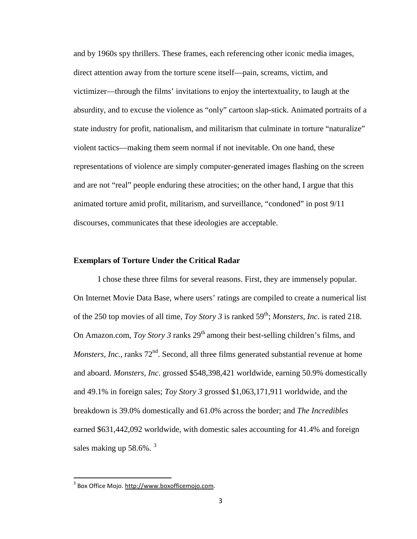and by 1960s spy thrillers. These frames, each referencing other iconic media images, direct attention away from the torture scene itself—pain, screams, victim, and victimizer—through the films' invitations to enjoy the intertextuality, to laugh at the absurdity, and to excuse the violence as "only" cartoon slap-stick. Animated portraits of a state industry for profit, nationalism, and militarism that culminate in torture "naturalize" violent tactics—making them seem normal if not inevitable. On one hand, these representations of violence are simply computer-generated images flashing on the screen and are not "real" people enduring these atrocities; on the other hand, I argue that this animated torture amid profit, militarism, and surveillance, "condoned" in post 9/11 discourses, communicates that these ideologies are acceptable.

#### **Exemplars of Torture Under the Critical Radar**

I chose these three films for several reasons. First, they are immensely popular. On Internet Movie Data Base, where users' ratings are compiled to create a numerical list of the 250 top movies of all time, *Toy Story 3* is ranked 59<sup>th</sup>; *Monsters, Inc.* is rated 218. On Amazon.com, *Toy Story 3* ranks  $29<sup>th</sup>$  among their best-selling children's films, and *Monsters, Inc.*, ranks 72<sup>nd</sup>. Second, all three films generated substantial revenue at home and aboard. *Monsters, Inc*. grossed \$548,398,421 worldwide, earning 50.9% domestically and 49.1% in foreign sales; *Toy Story 3* grossed \$1,063,171,911 worldwide, and the breakdown is 39.0% domestically and 61.0% across the border; and *The Incredibles* earned \$631,442,092 worldwide, with domestic sales accounting for 41.4% and foreign sales making up  $58.6\%$ .  $3$ 

<span id="page-6-0"></span> <sup>3</sup> Box Office Mojo[. http://www.boxofficemojo.com.](http://www.boxofficemojo.com/)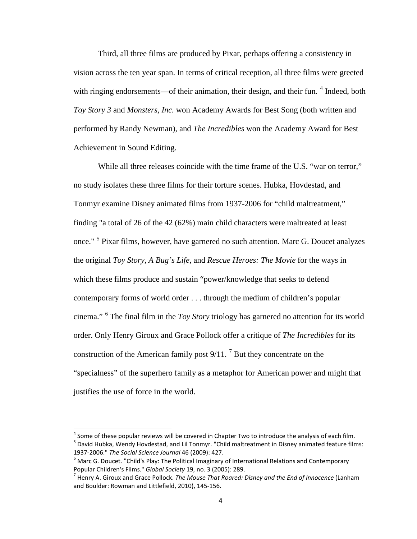Third, all three films are produced by Pixar, perhaps offering a consistency in vision across the ten year span. In terms of critical reception, all three films were greeted with ringing endorsements—of their animation, their design, and their fun. <sup>[4](#page-7-0)</sup> Indeed, both *Toy Story 3* and *Monsters, Inc.* won Academy Awards for Best Song (both written and performed by Randy Newman), and *The Incredibles* won the Academy Award for Best Achievement in Sound Editing.

While all three releases coincide with the time frame of the U.S. "war on terror," no study isolates these three films for their torture scenes. Hubka, Hovdestad, and Tonmyr examine Disney animated films from 1937-2006 for "child maltreatment," finding "a total of 26 of the 42 (62%) main child characters were maltreated at least once." <sup>[5](#page-7-1)</sup> Pixar films, however, have garnered no such attention. Marc G. Doucet analyzes the original *Toy Story*, *A Bug's Life*, and *Rescue Heroes: The Movie* for the ways in which these films produce and sustain "power/knowledge that seeks to defend contemporary forms of world order . . . through the medium of children's popular cinema." [6](#page-7-2) The final film in the *Toy Story* triology has garnered no attention for its world order. Only Henry Giroux and Grace Pollock offer a critique of *The Incredibles* for its construction of the American family post  $9/11$ . <sup>[7](#page-7-3)</sup> But they concentrate on the "specialness" of the superhero family as a metaphor for American power and might that justifies the use of force in the world.

<span id="page-7-1"></span><span id="page-7-0"></span> $4$  Some of these popular reviews will be covered in Chapter Two to introduce the analysis of each film. <sup>5</sup> David Hubka, Wendy Hovdestad, and Lil Tonmyr. "Child maltreatment in Disney animated feature films: 1937-2006." *The Social Science Journal* 46 (2009): 427.

<span id="page-7-2"></span> $6$  Marc G. Doucet. "Child's Play: The Political Imaginary of International Relations and Contemporary Popular Children's Films." *Global Society* 19, no. 3 (2005): 289.

<span id="page-7-3"></span><sup>7</sup> Henry A. Giroux and Grace Pollock. *The Mouse That Roared: Disney and the End of Innocence* (Lanham and Boulder: Rowman and Littlefield, 2010), 145-156.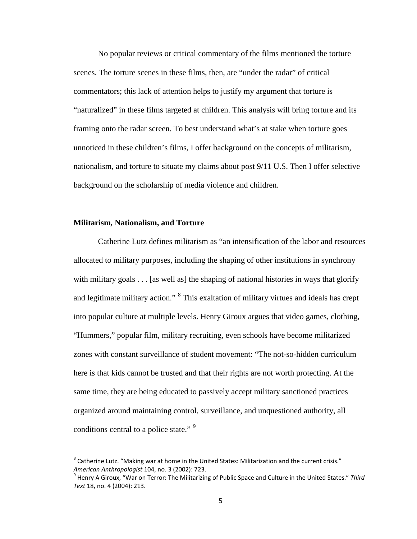No popular reviews or critical commentary of the films mentioned the torture scenes. The torture scenes in these films, then, are "under the radar" of critical commentators; this lack of attention helps to justify my argument that torture is "naturalized" in these films targeted at children. This analysis will bring torture and its framing onto the radar screen. To best understand what's at stake when torture goes unnoticed in these children's films, I offer background on the concepts of militarism, nationalism, and torture to situate my claims about post 9/11 U.S. Then I offer selective background on the scholarship of media violence and children.

## **Militarism, Nationalism, and Torture**

Catherine Lutz defines militarism as "an intensification of the labor and resources allocated to military purposes, including the shaping of other institutions in synchrony with military goals  $\dots$  [as well as] the shaping of national histories in ways that glorify and legitimate military action." <sup>[8](#page-8-0)</sup> This exaltation of military virtues and ideals has crept into popular culture at multiple levels. Henry Giroux argues that video games, clothing, "Hummers," popular film, military recruiting, even schools have become militarized zones with constant surveillance of student movement: "The not-so-hidden curriculum here is that kids cannot be trusted and that their rights are not worth protecting. At the same time, they are being educated to passively accept military sanctioned practices organized around maintaining control, surveillance, and unquestioned authority, all conditions central to a police state."<sup>[9](#page-8-1)</sup>

<span id="page-8-0"></span> $8$  Catherine Lutz. "Making war at home in the United States: Militarization and the current crisis." *American Anthropologist* 104, no. 3 (2002): 723.

<span id="page-8-1"></span><sup>9</sup> Henry A Giroux, "War on Terror: The Militarizing of Public Space and Culture in the United States." *Third Text* 18, no. 4 (2004): 213.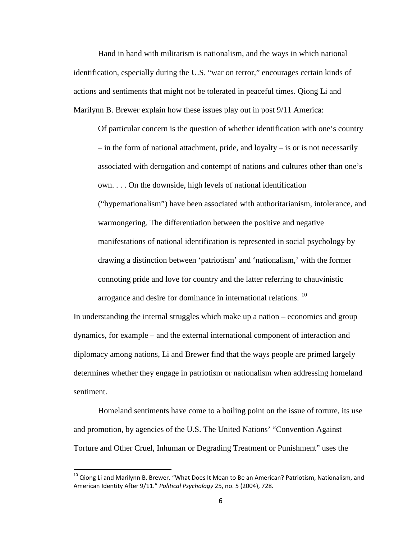Hand in hand with militarism is nationalism, and the ways in which national identification, especially during the U.S. "war on terror," encourages certain kinds of actions and sentiments that might not be tolerated in peaceful times. Qiong Li and Marilynn B. Brewer explain how these issues play out in post 9/11 America:

Of particular concern is the question of whether identification with one's country – in the form of national attachment, pride, and loyalty – is or is not necessarily associated with derogation and contempt of nations and cultures other than one's own. . . . On the downside, high levels of national identification ("hypernationalism") have been associated with authoritarianism, intolerance, and warmongering. The differentiation between the positive and negative manifestations of national identification is represented in social psychology by drawing a distinction between 'patriotism' and 'nationalism,' with the former connoting pride and love for country and the latter referring to chauvinistic arrogance and desire for dominance in international relations.<sup>[10](#page-9-0)</sup>

In understanding the internal struggles which make up a nation – economics and group dynamics, for example – and the external international component of interaction and diplomacy among nations, Li and Brewer find that the ways people are primed largely determines whether they engage in patriotism or nationalism when addressing homeland sentiment.

Homeland sentiments have come to a boiling point on the issue of torture, its use and promotion, by agencies of the U.S. The United Nations' "Convention Against Torture and Other Cruel, Inhuman or Degrading Treatment or Punishment" uses the

<span id="page-9-0"></span> $^{10}$  Qiong Li and Marilynn B. Brewer. "What Does It Mean to Be an American? Patriotism, Nationalism, and American Identity After 9/11." *Political Psychology* 25, no. 5 (2004), 728.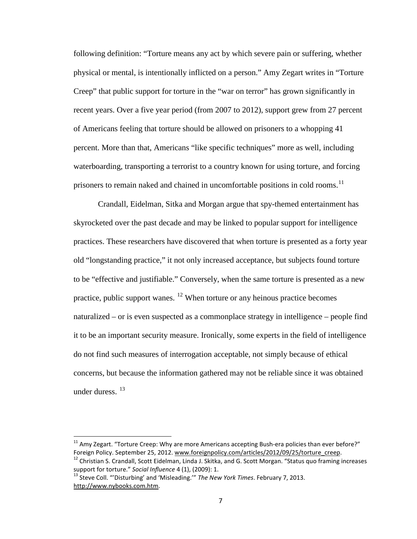following definition: "Torture means any act by which severe pain or suffering, whether physical or mental, is intentionally inflicted on a person." Amy Zegart writes in "Torture Creep" that public support for torture in the "war on terror" has grown significantly in recent years. Over a five year period (from 2007 to 2012), support grew from 27 percent of Americans feeling that torture should be allowed on prisoners to a whopping 41 percent. More than that, Americans "like specific techniques" more as well, including waterboarding, transporting a terrorist to a country known for using torture, and forcing prisoners to remain naked and chained in uncomfortable positions in cold rooms.<sup>[11](#page-10-0)</sup>

Crandall, Eidelman, Sitka and Morgan argue that spy-themed entertainment has skyrocketed over the past decade and may be linked to popular support for intelligence practices. These researchers have discovered that when torture is presented as a forty year old "longstanding practice," it not only increased acceptance, but subjects found torture to be "effective and justifiable." Conversely, when the same torture is presented as a new practice, public support wanes.  $12$  When torture or any heinous practice becomes naturalized – or is even suspected as a commonplace strategy in intelligence – people find it to be an important security measure. Ironically, some experts in the field of intelligence do not find such measures of interrogation acceptable, not simply because of ethical concerns, but because the information gathered may not be reliable since it was obtained under duress. [13](#page-10-2)

<span id="page-10-0"></span><sup>&</sup>lt;sup>11</sup> Amy Zegart. "Torture Creep: Why are more Americans accepting Bush-era policies than ever before?" Foreign Policy. September 25, 2012[. www.foreignpolicy.com/articles/2012/09/25/torture\\_creep.](http://www.foreignpolicy.com/articles/2012/09/25/torture_creep)

<span id="page-10-1"></span> $12$  Christian S. Crandall, Scott Eidelman, Linda J. Skitka, and G. Scott Morgan. "Status quo framing increases support for torture." *Social Influence* 4 (1), (2009): 1.

<span id="page-10-2"></span><sup>13</sup> Steve Coll. "'Disturbing' and 'Misleading.'" *The New York Times*. February 7, 2013. [http://www.nybooks.com.htm.](http://www.nybooks.com.htm/)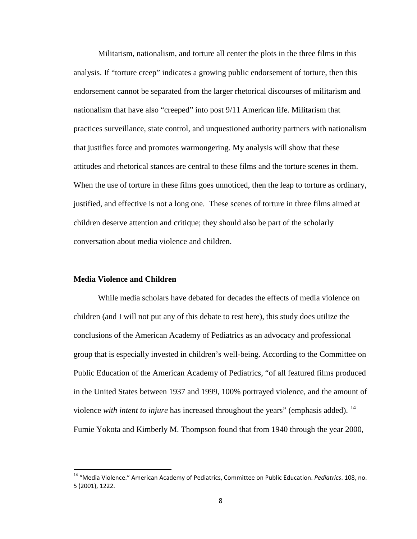Militarism, nationalism, and torture all center the plots in the three films in this analysis. If "torture creep" indicates a growing public endorsement of torture, then this endorsement cannot be separated from the larger rhetorical discourses of militarism and nationalism that have also "creeped" into post 9/11 American life. Militarism that practices surveillance, state control, and unquestioned authority partners with nationalism that justifies force and promotes warmongering. My analysis will show that these attitudes and rhetorical stances are central to these films and the torture scenes in them. When the use of torture in these films goes unnoticed, then the leap to torture as ordinary, justified, and effective is not a long one. These scenes of torture in three films aimed at children deserve attention and critique; they should also be part of the scholarly conversation about media violence and children.

#### **Media Violence and Children**

While media scholars have debated for decades the effects of media violence on children (and I will not put any of this debate to rest here), this study does utilize the conclusions of the American Academy of Pediatrics as an advocacy and professional group that is especially invested in children's well-being. According to the Committee on Public Education of the American Academy of Pediatrics, "of all featured films produced in the United States between 1937 and 1999, 100% portrayed violence, and the amount of violence *with intent to injure* has increased throughout the years" (emphasis added). <sup>[14](#page-11-0)</sup> Fumie Yokota and Kimberly M. Thompson found that from 1940 through the year 2000,

<span id="page-11-0"></span> <sup>14</sup> "Media Violence." American Academy of Pediatrics, Committee on Public Education. *Pediatrics*. 108, no. 5 (2001), 1222.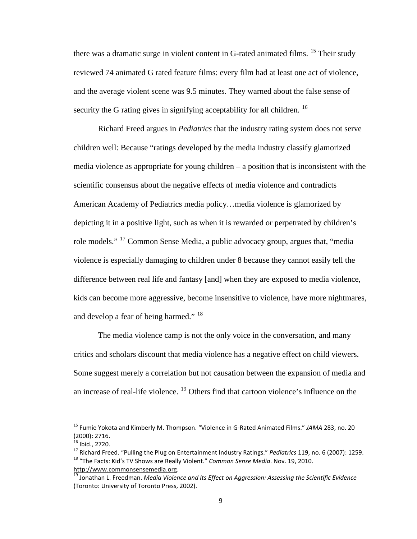there was a dramatic surge in violent content in G-rated animated films. <sup>[15](#page-12-0)</sup> Their study reviewed 74 animated G rated feature films: every film had at least one act of violence, and the average violent scene was 9.5 minutes. They warned about the false sense of security the G rating gives in signifying acceptability for all children.  $^{16}$  $^{16}$  $^{16}$ 

Richard Freed argues in *Pediatrics* that the industry rating system does not serve children well: Because "ratings developed by the media industry classify glamorized media violence as appropriate for young children – a position that is inconsistent with the scientific consensus about the negative effects of media violence and contradicts American Academy of Pediatrics media policy…media violence is glamorized by depicting it in a positive light, such as when it is rewarded or perpetrated by children's role models." [17](#page-12-2) Common Sense Media, a public advocacy group, argues that, "media violence is especially damaging to children under 8 because they cannot easily tell the difference between real life and fantasy [and] when they are exposed to media violence, kids can become more aggressive, become insensitive to violence, have more nightmares, and develop a fear of being harmed." <sup>[18](#page-12-3)</sup>

The media violence camp is not the only voice in the conversation, and many critics and scholars discount that media violence has a negative effect on child viewers. Some suggest merely a correlation but not causation between the expansion of media and an increase of real-life violence. <sup>[19](#page-12-4)</sup> Others find that cartoon violence's influence on the

<span id="page-12-0"></span> <sup>15</sup> Fumie Yokota and Kimberly M. Thompson. "Violence in G-Rated Animated Films." *JAMA* 283, no. 20 (2000): 2716.<br><sup>16</sup> Ibid., 2720.

<span id="page-12-2"></span><span id="page-12-1"></span><sup>17</sup> Richard Freed. "Pulling the Plug on Entertainment Industry Ratings." *Pediatrics* 119, no. 6 (2007): 1259.<br><sup>18</sup> "The Facts: Kid's TV Shows are Really Violent." *Common Sense Media*. Nov. 19, 2010.

<span id="page-12-4"></span><span id="page-12-3"></span>[http://www.commonsensemedia.org.](http://www.commonsensemedia.org/)<br><sup>[19](http://www.commonsensemedia.org/)</sup> Jonathan L. Freedman. *Media Violence and Its Effect on Aggression: Assessing the Scientific Evidence* (Toronto: University of Toronto Press, 2002).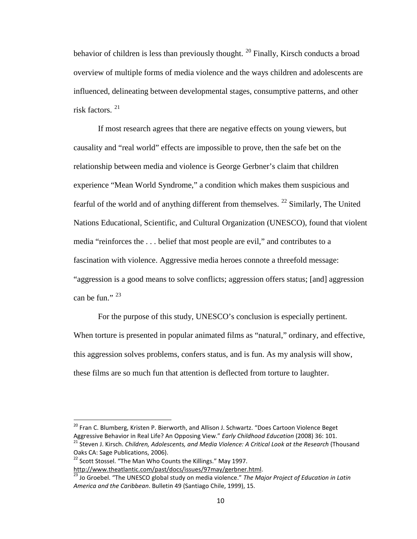behavior of children is less than previously thought. <sup>[20](#page-13-0)</sup> Finally, Kirsch conducts a broad overview of multiple forms of media violence and the ways children and adolescents are influenced, delineating between developmental stages, consumptive patterns, and other risk factors. [21](#page-13-1)

If most research agrees that there are negative effects on young viewers, but causality and "real world" effects are impossible to prove, then the safe bet on the relationship between media and violence is George Gerbner's claim that children experience "Mean World Syndrome," a condition which makes them suspicious and fearful of the world and of anything different from themselves.  $^{22}$  $^{22}$  $^{22}$  Similarly, The United Nations Educational, Scientific, and Cultural Organization (UNESCO), found that violent media "reinforces the . . . belief that most people are evil," and contributes to a fascination with violence. Aggressive media heroes connote a threefold message: "aggression is a good means to solve conflicts; aggression offers status; [and] aggression can be fun." $^{23}$  $^{23}$  $^{23}$ 

For the purpose of this study, UNESCO's conclusion is especially pertinent. When torture is presented in popular animated films as "natural," ordinary, and effective, this aggression solves problems, confers status, and is fun. As my analysis will show, these films are so much fun that attention is deflected from torture to laughter.

<span id="page-13-0"></span><sup>&</sup>lt;sup>20</sup> Fran C. Blumberg, Kristen P. Bierworth, and Allison J. Schwartz. "Does Cartoon Violence Beget

<span id="page-13-1"></span>Aggressive Behavior in Real Life? An Opposing View." *Early Childhood Education* (2008) 36: 101.<br><sup>21</sup> Steven J. Kirsch. *Children, Adolescents, and Media Violence: A Critical Look at the Research (Thousand* Oaks CA: Sage Publications, 2006).

<span id="page-13-2"></span> $22$  Scott Stossel. "The Man Who Counts the Killings." May 1997.

[http://www.theatlantic.com/past/docs/issues/97may/gerbner.html.](http://www.theatlantic.com/past/docs/issues/97may/gerbner.html)

<span id="page-13-3"></span><sup>23</sup> Jo Groebel. "The UNESCO global study on media violence." *The Major Project of Education in Latin America and the Caribbean*. Bulletin 49 (Santiago Chile, 1999), 15.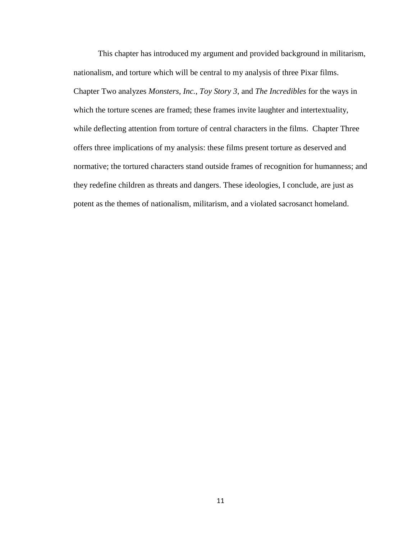This chapter has introduced my argument and provided background in militarism, nationalism, and torture which will be central to my analysis of three Pixar films. Chapter Two analyzes *Monsters, Inc.*, *Toy Story 3*, and *The Incredibles* for the ways in which the torture scenes are framed; these frames invite laughter and intertextuality, while deflecting attention from torture of central characters in the films. Chapter Three offers three implications of my analysis: these films present torture as deserved and normative; the tortured characters stand outside frames of recognition for humanness; and they redefine children as threats and dangers. These ideologies, I conclude, are just as potent as the themes of nationalism, militarism, and a violated sacrosanct homeland.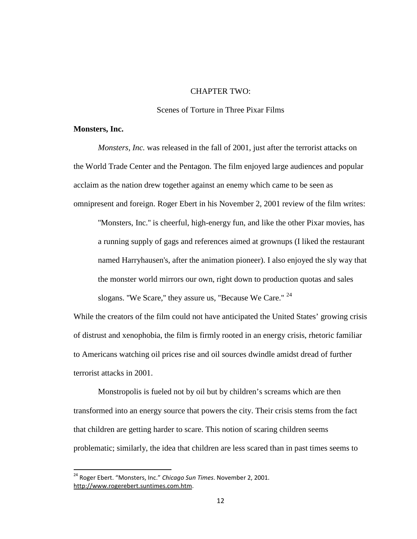# CHAPTER TWO:

#### Scenes of Torture in Three Pixar Films

#### **Monsters, Inc.**

*Monsters, Inc.* was released in the fall of 2001, just after the terrorist attacks on the World Trade Center and the Pentagon. The film enjoyed large audiences and popular acclaim as the nation drew together against an enemy which came to be seen as omnipresent and foreign. Roger Ebert in his November 2, 2001 review of the film writes:

''Monsters, Inc.'' is cheerful, high-energy fun, and like the other Pixar movies, has a running supply of gags and references aimed at grownups (I liked the restaurant named Harryhausen's, after the animation pioneer). I also enjoyed the sly way that the monster world mirrors our own, right down to production quotas and sales slogans. "We Scare," they assure us, "Because We Care." <sup>[24](#page-15-0)</sup>

While the creators of the film could not have anticipated the United States' growing crisis of distrust and xenophobia, the film is firmly rooted in an energy crisis, rhetoric familiar to Americans watching oil prices rise and oil sources dwindle amidst dread of further terrorist attacks in 2001.

Monstropolis is fueled not by oil but by children's screams which are then transformed into an energy source that powers the city. Their crisis stems from the fact that children are getting harder to scare. This notion of scaring children seems problematic; similarly, the idea that children are less scared than in past times seems to

<span id="page-15-0"></span> <sup>24</sup> Roger Ebert. "Monsters, Inc." *Chicago Sun Times*. November 2, 2001. [http://www.rogerebert.suntimes.com.htm.](http://www.rogerebert.suntimes.com.html/)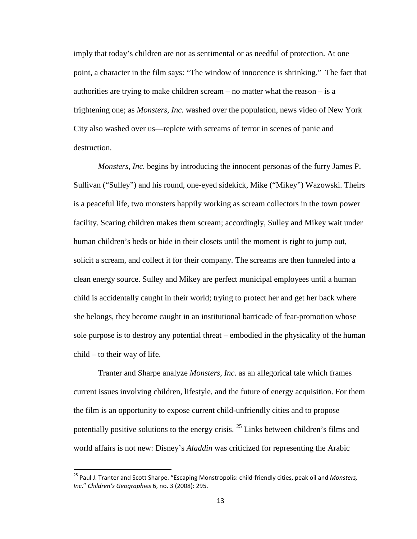imply that today's children are not as sentimental or as needful of protection. At one point, a character in the film says: "The window of innocence is shrinking." The fact that authorities are trying to make children scream – no matter what the reason – is a frightening one; as *Monsters, Inc.* washed over the population, news video of New York City also washed over us—replete with screams of terror in scenes of panic and destruction.

*Monsters, Inc.* begins by introducing the innocent personas of the furry James P. Sullivan ("Sulley") and his round, one-eyed sidekick, Mike ("Mikey") Wazowski. Theirs is a peaceful life, two monsters happily working as scream collectors in the town power facility. Scaring children makes them scream; accordingly, Sulley and Mikey wait under human children's beds or hide in their closets until the moment is right to jump out, solicit a scream, and collect it for their company. The screams are then funneled into a clean energy source. Sulley and Mikey are perfect municipal employees until a human child is accidentally caught in their world; trying to protect her and get her back where she belongs, they become caught in an institutional barricade of fear-promotion whose sole purpose is to destroy any potential threat – embodied in the physicality of the human child – to their way of life.

Tranter and Sharpe analyze *Monsters, Inc*. as an allegorical tale which frames current issues involving children, lifestyle, and the future of energy acquisition. For them the film is an opportunity to expose current child-unfriendly cities and to propose potentially positive solutions to the energy crisis. <sup>[25](#page-16-0)</sup> Links between children's films and world affairs is not new: Disney's *Aladdin* was criticized for representing the Arabic

<span id="page-16-0"></span> <sup>25</sup> Paul J. Tranter and Scott Sharpe. "Escaping Monstropolis: child-friendly cities, peak oil and *Monsters, Inc*." *Children's Geographies* 6, no. 3 (2008): 295.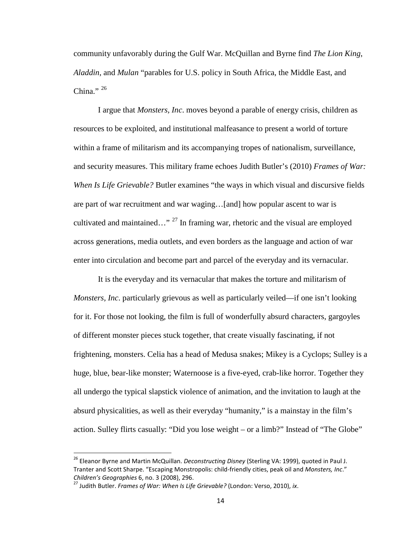community unfavorably during the Gulf War. McQuillan and Byrne find *The Lion King*, *Aladdin*, and *Mulan* "parables for U.S. policy in South Africa, the Middle East, and China." $^{26}$  $^{26}$  $^{26}$ 

I argue that *Monsters, Inc*. moves beyond a parable of energy crisis, children as resources to be exploited, and institutional malfeasance to present a world of torture within a frame of militarism and its accompanying tropes of nationalism, surveillance, and security measures. This military frame echoes Judith Butler's (2010) *Frames of War: When Is Life Grievable?* Butler examines "the ways in which visual and discursive fields are part of war recruitment and war waging…[and] how popular ascent to war is cultivated and maintained..."<sup>[27](#page-17-1)</sup> In framing war, rhetoric and the visual are employed across generations, media outlets, and even borders as the language and action of war enter into circulation and become part and parcel of the everyday and its vernacular.

It is the everyday and its vernacular that makes the torture and militarism of *Monsters, Inc*. particularly grievous as well as particularly veiled—if one isn't looking for it. For those not looking, the film is full of wonderfully absurd characters, gargoyles of different monster pieces stuck together, that create visually fascinating, if not frightening, monsters. Celia has a head of Medusa snakes; Mikey is a Cyclops; Sulley is a huge, blue, bear-like monster; Waternoose is a five-eyed, crab-like horror. Together they all undergo the typical slapstick violence of animation, and the invitation to laugh at the absurd physicalities, as well as their everyday "humanity," is a mainstay in the film's action. Sulley flirts casually: "Did you lose weight – or a limb?" Instead of "The Globe"

<span id="page-17-0"></span> <sup>26</sup> Eleanor Byrne and Martin McQuillan. *Deconstructing Disney* (Sterling VA: 1999), quoted in Paul J. Tranter and Scott Sharpe. "Escaping Monstropolis: child-friendly cities, peak oil and *Monsters, Inc*." *Children's Geographies* 6, no. 3 (2008), 296. 27 Judith Butler. *Frames of War: When Is Life Grievable?* (London: Verso, 2010), *ix*.

<span id="page-17-1"></span>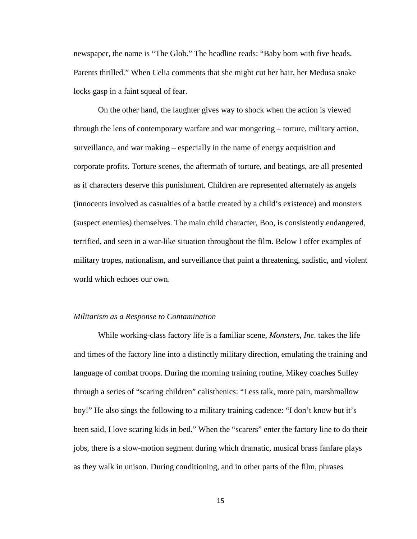newspaper, the name is "The Glob." The headline reads: "Baby born with five heads. Parents thrilled." When Celia comments that she might cut her hair, her Medusa snake locks gasp in a faint squeal of fear.

On the other hand, the laughter gives way to shock when the action is viewed through the lens of contemporary warfare and war mongering – torture, military action, surveillance, and war making – especially in the name of energy acquisition and corporate profits. Torture scenes, the aftermath of torture, and beatings, are all presented as if characters deserve this punishment. Children are represented alternately as angels (innocents involved as casualties of a battle created by a child's existence) and monsters (suspect enemies) themselves. The main child character, Boo, is consistently endangered, terrified, and seen in a war-like situation throughout the film. Below I offer examples of military tropes, nationalism, and surveillance that paint a threatening, sadistic, and violent world which echoes our own.

#### *Militarism as a Response to Contamination*

While working-class factory life is a familiar scene, *Monsters, Inc.* takes the life and times of the factory line into a distinctly military direction, emulating the training and language of combat troops. During the morning training routine, Mikey coaches Sulley through a series of "scaring children" calisthenics: "Less talk, more pain, marshmallow boy!" He also sings the following to a military training cadence: "I don't know but it's been said, I love scaring kids in bed." When the "scarers" enter the factory line to do their jobs, there is a slow-motion segment during which dramatic, musical brass fanfare plays as they walk in unison. During conditioning, and in other parts of the film, phrases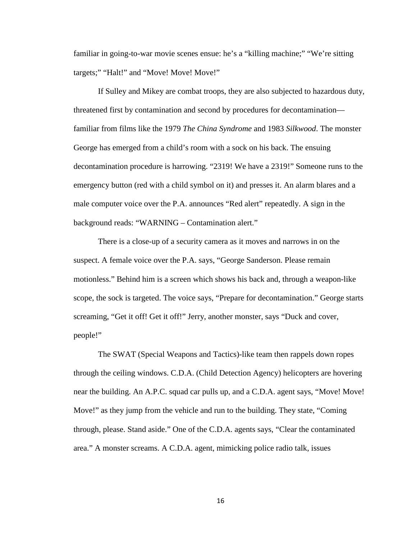familiar in going-to-war movie scenes ensue: he's a "killing machine;" "We're sitting targets;" "Halt!" and "Move! Move! Move!"

If Sulley and Mikey are combat troops, they are also subjected to hazardous duty, threatened first by contamination and second by procedures for decontamination familiar from films like the 1979 *The China Syndrome* and 1983 *Silkwood*. The monster George has emerged from a child's room with a sock on his back. The ensuing decontamination procedure is harrowing. "2319! We have a 2319!" Someone runs to the emergency button (red with a child symbol on it) and presses it. An alarm blares and a male computer voice over the P.A. announces "Red alert" repeatedly. A sign in the background reads: "WARNING – Contamination alert."

There is a close-up of a security camera as it moves and narrows in on the suspect. A female voice over the P.A. says, "George Sanderson. Please remain motionless." Behind him is a screen which shows his back and, through a weapon-like scope, the sock is targeted. The voice says, "Prepare for decontamination." George starts screaming, "Get it off! Get it off!" Jerry, another monster, says "Duck and cover, people!"

The SWAT (Special Weapons and Tactics)-like team then rappels down ropes through the ceiling windows. C.D.A. (Child Detection Agency) helicopters are hovering near the building. An A.P.C. squad car pulls up, and a C.D.A. agent says, "Move! Move! Move!" as they jump from the vehicle and run to the building. They state, "Coming through, please. Stand aside." One of the C.D.A. agents says, "Clear the contaminated area." A monster screams. A C.D.A. agent, mimicking police radio talk, issues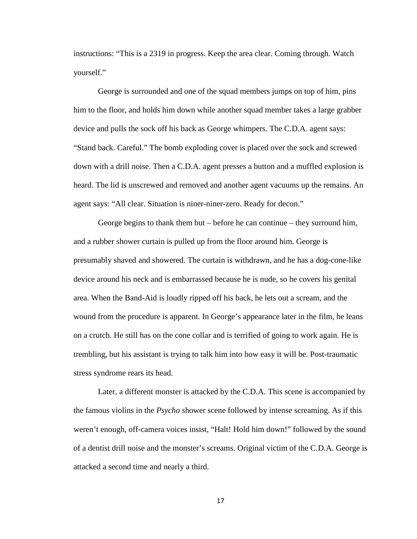instructions: "This is a 2319 in progress. Keep the area clear. Coming through. Watch yourself."

George is surrounded and one of the squad members jumps on top of him, pins him to the floor, and holds him down while another squad member takes a large grabber device and pulls the sock off his back as George whimpers. The C.D.A. agent says: "Stand back. Careful." The bomb exploding cover is placed over the sock and screwed down with a drill noise. Then a C.D.A. agent presses a button and a muffled explosion is heard. The lid is unscrewed and removed and another agent vacuums up the remains. An agent says: "All clear. Situation is niner-niner-zero. Ready for decon."

George begins to thank them but – before he can continue – they surround him, and a rubber shower curtain is pulled up from the floor around him. George is presumably shaved and showered. The curtain is withdrawn, and he has a dog-cone-like device around his neck and is embarrassed because he is nude, so he covers his genital area. When the Band-Aid is loudly ripped off his back, he lets out a scream, and the wound from the procedure is apparent. In George's appearance later in the film, he leans on a crutch. He still has on the cone collar and is terrified of going to work again. He is trembling, but his assistant is trying to talk him into how easy it will be. Post-traumatic stress syndrome rears its head.

Later, a different monster is attacked by the C.D.A. This scene is accompanied by the famous violins in the *Psycho* shower scene followed by intense screaming. As if this weren't enough, off-camera voices insist, "Halt! Hold him down!" followed by the sound of a dentist drill noise and the monster's screams. Original victim of the C.D.A. George is attacked a second time and nearly a third.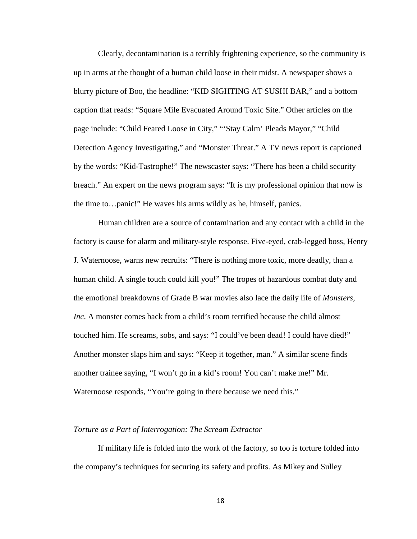Clearly, decontamination is a terribly frightening experience, so the community is up in arms at the thought of a human child loose in their midst. A newspaper shows a blurry picture of Boo, the headline: "KID SIGHTING AT SUSHI BAR," and a bottom caption that reads: "Square Mile Evacuated Around Toxic Site." Other articles on the page include: "Child Feared Loose in City," "'Stay Calm' Pleads Mayor," "Child Detection Agency Investigating," and "Monster Threat." A TV news report is captioned by the words: "Kid-Tastrophe!" The newscaster says: "There has been a child security breach." An expert on the news program says: "It is my professional opinion that now is the time to…panic!" He waves his arms wildly as he, himself, panics.

Human children are a source of contamination and any contact with a child in the factory is cause for alarm and military-style response. Five-eyed, crab-legged boss, Henry J. Waternoose, warns new recruits: "There is nothing more toxic, more deadly, than a human child. A single touch could kill you!" The tropes of hazardous combat duty and the emotional breakdowns of Grade B war movies also lace the daily life of *Monsters, Inc*. A monster comes back from a child's room terrified because the child almost touched him. He screams, sobs, and says: "I could've been dead! I could have died!" Another monster slaps him and says: "Keep it together, man." A similar scene finds another trainee saying, "I won't go in a kid's room! You can't make me!" Mr. Waternoose responds, "You're going in there because we need this."

#### *Torture as a Part of Interrogation: The Scream Extractor*

If military life is folded into the work of the factory, so too is torture folded into the company's techniques for securing its safety and profits. As Mikey and Sulley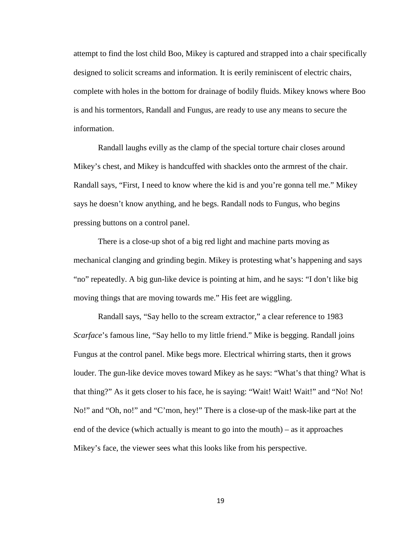attempt to find the lost child Boo, Mikey is captured and strapped into a chair specifically designed to solicit screams and information. It is eerily reminiscent of electric chairs, complete with holes in the bottom for drainage of bodily fluids. Mikey knows where Boo is and his tormentors, Randall and Fungus, are ready to use any means to secure the information.

Randall laughs evilly as the clamp of the special torture chair closes around Mikey's chest, and Mikey is handcuffed with shackles onto the armrest of the chair. Randall says, "First, I need to know where the kid is and you're gonna tell me." Mikey says he doesn't know anything, and he begs. Randall nods to Fungus, who begins pressing buttons on a control panel.

There is a close-up shot of a big red light and machine parts moving as mechanical clanging and grinding begin. Mikey is protesting what's happening and says "no" repeatedly. A big gun-like device is pointing at him, and he says: "I don't like big moving things that are moving towards me." His feet are wiggling.

Randall says, "Say hello to the scream extractor," a clear reference to 1983 *Scarface*'s famous line, "Say hello to my little friend." Mike is begging. Randall joins Fungus at the control panel. Mike begs more. Electrical whirring starts, then it grows louder. The gun-like device moves toward Mikey as he says: "What's that thing? What is that thing?" As it gets closer to his face, he is saying: "Wait! Wait! Wait!" and "No! No! No!" and "Oh, no!" and "C'mon, hey!" There is a close-up of the mask-like part at the end of the device (which actually is meant to go into the mouth) – as it approaches Mikey's face, the viewer sees what this looks like from his perspective.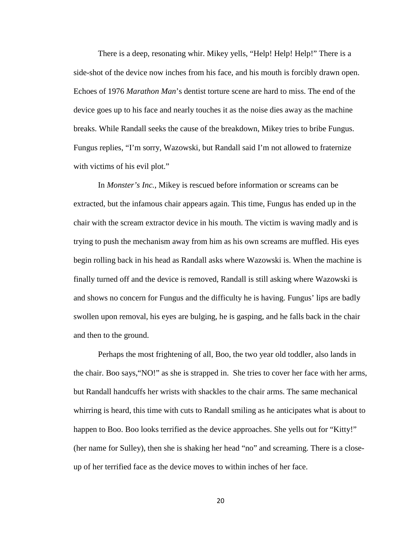There is a deep, resonating whir. Mikey yells, "Help! Help! Help!" There is a side-shot of the device now inches from his face, and his mouth is forcibly drawn open. Echoes of 1976 *Marathon Man*'s dentist torture scene are hard to miss. The end of the device goes up to his face and nearly touches it as the noise dies away as the machine breaks. While Randall seeks the cause of the breakdown, Mikey tries to bribe Fungus. Fungus replies, "I'm sorry, Wazowski, but Randall said I'm not allowed to fraternize with victims of his evil plot."

In *Monster's Inc.*, Mikey is rescued before information or screams can be extracted, but the infamous chair appears again. This time, Fungus has ended up in the chair with the scream extractor device in his mouth. The victim is waving madly and is trying to push the mechanism away from him as his own screams are muffled. His eyes begin rolling back in his head as Randall asks where Wazowski is. When the machine is finally turned off and the device is removed, Randall is still asking where Wazowski is and shows no concern for Fungus and the difficulty he is having. Fungus' lips are badly swollen upon removal, his eyes are bulging, he is gasping, and he falls back in the chair and then to the ground.

Perhaps the most frightening of all, Boo, the two year old toddler, also lands in the chair. Boo says,"NO!" as she is strapped in. She tries to cover her face with her arms, but Randall handcuffs her wrists with shackles to the chair arms. The same mechanical whirring is heard, this time with cuts to Randall smiling as he anticipates what is about to happen to Boo. Boo looks terrified as the device approaches. She yells out for "Kitty!" (her name for Sulley), then she is shaking her head "no" and screaming. There is a closeup of her terrified face as the device moves to within inches of her face.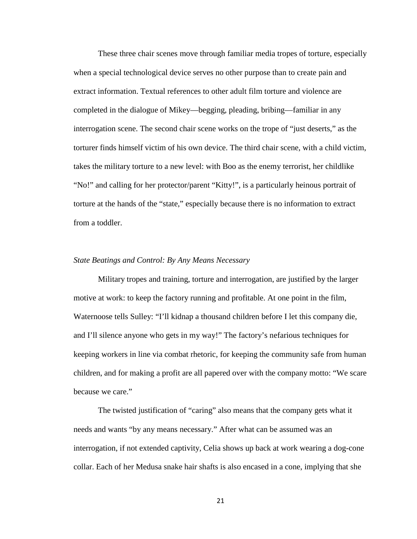These three chair scenes move through familiar media tropes of torture, especially when a special technological device serves no other purpose than to create pain and extract information. Textual references to other adult film torture and violence are completed in the dialogue of Mikey—begging, pleading, bribing—familiar in any interrogation scene. The second chair scene works on the trope of "just deserts," as the torturer finds himself victim of his own device. The third chair scene, with a child victim, takes the military torture to a new level: with Boo as the enemy terrorist, her childlike "No!" and calling for her protector/parent "Kitty!", is a particularly heinous portrait of torture at the hands of the "state," especially because there is no information to extract from a toddler.

#### *State Beatings and Control: By Any Means Necessary*

Military tropes and training, torture and interrogation, are justified by the larger motive at work: to keep the factory running and profitable. At one point in the film, Waternoose tells Sulley: "I'll kidnap a thousand children before I let this company die, and I'll silence anyone who gets in my way!" The factory's nefarious techniques for keeping workers in line via combat rhetoric, for keeping the community safe from human children, and for making a profit are all papered over with the company motto: "We scare because we care."

The twisted justification of "caring" also means that the company gets what it needs and wants "by any means necessary." After what can be assumed was an interrogation, if not extended captivity, Celia shows up back at work wearing a dog-cone collar. Each of her Medusa snake hair shafts is also encased in a cone, implying that she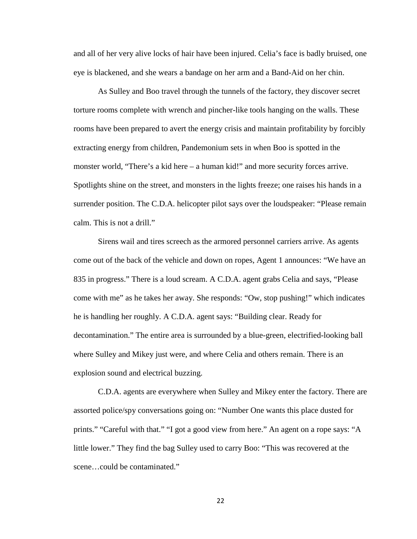and all of her very alive locks of hair have been injured. Celia's face is badly bruised, one eye is blackened, and she wears a bandage on her arm and a Band-Aid on her chin.

As Sulley and Boo travel through the tunnels of the factory, they discover secret torture rooms complete with wrench and pincher-like tools hanging on the walls. These rooms have been prepared to avert the energy crisis and maintain profitability by forcibly extracting energy from children, Pandemonium sets in when Boo is spotted in the monster world, "There's a kid here – a human kid!" and more security forces arrive. Spotlights shine on the street, and monsters in the lights freeze; one raises his hands in a surrender position. The C.D.A. helicopter pilot says over the loudspeaker: "Please remain calm. This is not a drill."

Sirens wail and tires screech as the armored personnel carriers arrive. As agents come out of the back of the vehicle and down on ropes, Agent 1 announces: "We have an 835 in progress." There is a loud scream. A C.D.A. agent grabs Celia and says, "Please come with me" as he takes her away. She responds: "Ow, stop pushing!" which indicates he is handling her roughly. A C.D.A. agent says: "Building clear. Ready for decontamination." The entire area is surrounded by a blue-green, electrified-looking ball where Sulley and Mikey just were, and where Celia and others remain. There is an explosion sound and electrical buzzing.

C.D.A. agents are everywhere when Sulley and Mikey enter the factory. There are assorted police/spy conversations going on: "Number One wants this place dusted for prints." "Careful with that." "I got a good view from here." An agent on a rope says: "A little lower." They find the bag Sulley used to carry Boo: "This was recovered at the scene…could be contaminated."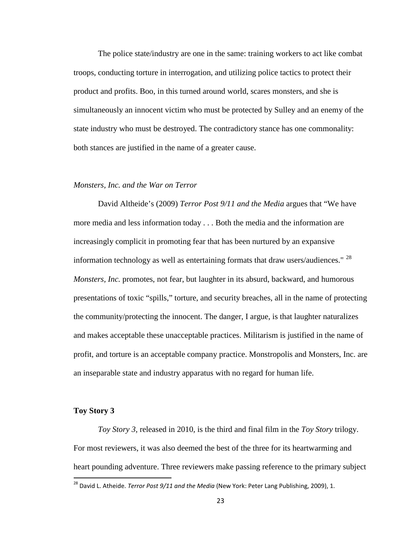The police state/industry are one in the same: training workers to act like combat troops, conducting torture in interrogation, and utilizing police tactics to protect their product and profits. Boo, in this turned around world, scares monsters, and she is simultaneously an innocent victim who must be protected by Sulley and an enemy of the state industry who must be destroyed. The contradictory stance has one commonality: both stances are justified in the name of a greater cause.

#### *Monsters, Inc. and the War on Terror*

David Altheide's (2009) *Terror Post 9/11 and the Media* argues that "We have more media and less information today . . . Both the media and the information are increasingly complicit in promoting fear that has been nurtured by an expansive information technology as well as entertaining formats that draw users/audiences."  $28$ *Monsters, Inc.* promotes, not fear, but laughter in its absurd, backward, and humorous presentations of toxic "spills," torture, and security breaches, all in the name of protecting the community/protecting the innocent. The danger, I argue, is that laughter naturalizes and makes acceptable these unacceptable practices. Militarism is justified in the name of profit, and torture is an acceptable company practice. Monstropolis and Monsters, Inc. are an inseparable state and industry apparatus with no regard for human life.

#### **Toy Story 3**

*Toy Story 3,* released in 2010*,* is the third and final film in the *Toy Story* trilogy. For most reviewers, it was also deemed the best of the three for its heartwarming and heart pounding adventure. Three reviewers make passing reference to the primary subject

<span id="page-26-0"></span> <sup>28</sup> David L. Atheide. *Terror Post 9/11 and the Media* (New York: Peter Lang Publishing, 2009), 1.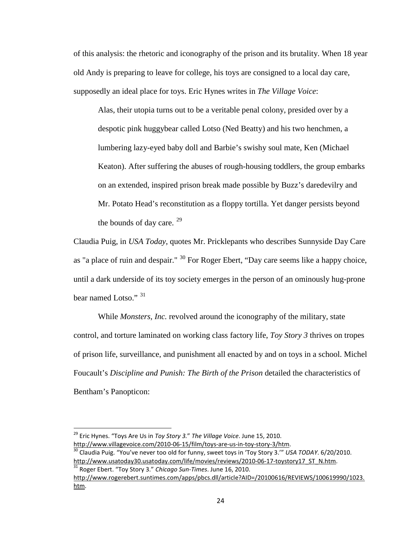of this analysis: the rhetoric and iconography of the prison and its brutality. When 18 year old Andy is preparing to leave for college, his toys are consigned to a local day care, supposedly an ideal place for toys. Eric Hynes writes in *The Village Voice*:

Alas, their utopia turns out to be a veritable penal colony, presided over by a despotic pink huggybear called Lotso (Ned Beatty) and his two henchmen, a lumbering lazy-eyed baby doll and Barbie's swishy soul mate, Ken (Michael Keaton). After suffering the abuses of rough-housing toddlers, the group embarks on an extended, inspired prison break made possible by Buzz's daredevilry and Mr. Potato Head's reconstitution as a floppy tortilla. Yet danger persists beyond the bounds of day care.  $29$ 

Claudia Puig, in *USA Today*, quotes Mr. Pricklepants who describes Sunnyside Day Care as "a place of ruin and despair." <sup>[30](#page-27-1)</sup> For Roger Ebert, "Day care seems like a happy choice, until a dark underside of its toy society emerges in the person of an ominously hug-prone bear named Lotso." [31](#page-27-2)

While *Monsters, Inc.* revolved around the iconography of the military, state control, and torture laminated on working class factory life, *Toy Story 3* thrives on tropes of prison life, surveillance, and punishment all enacted by and on toys in a school. Michel Foucault's *Discipline and Punish: The Birth of the Prison* detailed the characteristics of Bentham's Panopticon:

<span id="page-27-1"></span>[http://www.usatoday30.usatoday.com/life/movies/reviews/2010-06-17-toystory17\\_ST\\_N.htm.](http://www.usatoday30.usatoday.com/life/movies/reviews/2010-06-17-toystory17_ST_N.html)

<span id="page-27-0"></span> <sup>29</sup> Eric Hynes. "Toys Are Us in *Toy Story 3.*" *The Village Voice*. June 15, 2010. http://www.villagevoice.com/2010-06-15/film/toys-are-us-in-toy-story-3/htm.<br><sup>30</sup> Claudia Puig. "You've never too old for funny, sweet toys in 'Toy Story 3.'" *USA TODAY*. 6/20/2010.

<span id="page-27-2"></span><sup>31</sup> Roger Ebert. "Toy Story 3." *Chicago Sun-Times*. June 16, 2010. [http://www.rogerebert.suntimes.com/apps/pbcs.dll/article?AID=/20100616/REVIEWS/100619990/1023.](http://www.rogerebert.suntimes.com/apps/pbcs.dll/article?AID=/20100616/REVIEWS/100619990/1023.html) [htm.](http://www.rogerebert.suntimes.com/apps/pbcs.dll/article?AID=/20100616/REVIEWS/100619990/1023.html)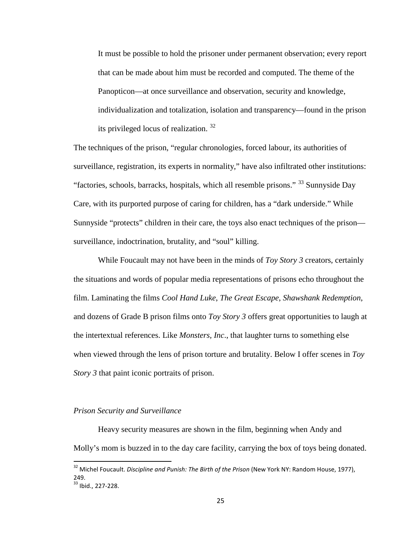It must be possible to hold the prisoner under permanent observation; every report that can be made about him must be recorded and computed. The theme of the Panopticon—at once surveillance and observation, security and knowledge, individualization and totalization, isolation and transparency—found in the prison its privileged locus of realization. [32](#page-28-0)

The techniques of the prison, "regular chronologies, forced labour, its authorities of surveillance, registration, its experts in normality," have also infiltrated other institutions: "factories, schools, barracks, hospitals, which all resemble prisons." <sup>[33](#page-28-1)</sup> Sunnyside Day Care, with its purported purpose of caring for children, has a "dark underside." While Sunnyside "protects" children in their care, the toys also enact techniques of the prison surveillance, indoctrination, brutality, and "soul" killing.

While Foucault may not have been in the minds of *Toy Story 3* creators, certainly the situations and words of popular media representations of prisons echo throughout the film. Laminating the films *Cool Hand Luke*, *The Great Escape*, *Shawshank Redemption*, and dozens of Grade B prison films onto *Toy Story 3* offers great opportunities to laugh at the intertextual references. Like *Monsters, Inc*., that laughter turns to something else when viewed through the lens of prison torture and brutality. Below I offer scenes in *Toy Story 3* that paint iconic portraits of prison.

#### *Prison Security and Surveillance*

Heavy security measures are shown in the film, beginning when Andy and Molly's mom is buzzed in to the day care facility, carrying the box of toys being donated.

<span id="page-28-0"></span> <sup>32</sup> Michel Foucault. *Discipline and Punish: The Birth of the Prison* (New York NY: Random House, 1977), 249.

<span id="page-28-1"></span> $33$  Ibid., 227-228.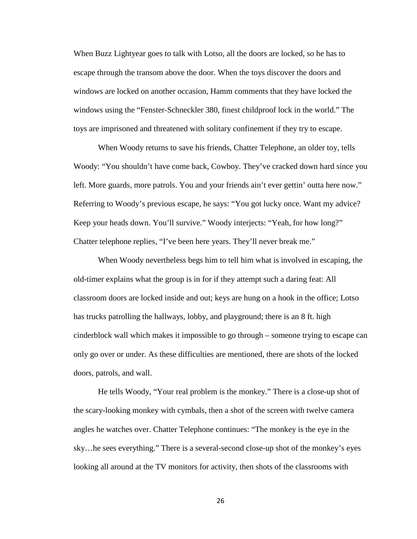When Buzz Lightyear goes to talk with Lotso, all the doors are locked, so he has to escape through the transom above the door. When the toys discover the doors and windows are locked on another occasion, Hamm comments that they have locked the windows using the "Fenster-Schneckler 380, finest childproof lock in the world." The toys are imprisoned and threatened with solitary confinement if they try to escape.

When Woody returns to save his friends, Chatter Telephone, an older toy, tells Woody: "You shouldn't have come back, Cowboy. They've cracked down hard since you left. More guards, more patrols. You and your friends ain't ever gettin' outta here now." Referring to Woody's previous escape, he says: "You got lucky once. Want my advice? Keep your heads down. You'll survive." Woody interjects: "Yeah, for how long?" Chatter telephone replies, "I've been here years. They'll never break me."

When Woody nevertheless begs him to tell him what is involved in escaping, the old-timer explains what the group is in for if they attempt such a daring feat: All classroom doors are locked inside and out; keys are hung on a hook in the office; Lotso has trucks patrolling the hallways, lobby, and playground; there is an 8 ft. high cinderblock wall which makes it impossible to go through – someone trying to escape can only go over or under. As these difficulties are mentioned, there are shots of the locked doors, patrols, and wall.

He tells Woody, "Your real problem is the monkey." There is a close-up shot of the scary-looking monkey with cymbals, then a shot of the screen with twelve camera angles he watches over. Chatter Telephone continues: "The monkey is the eye in the sky…he sees everything." There is a several-second close-up shot of the monkey's eyes looking all around at the TV monitors for activity, then shots of the classrooms with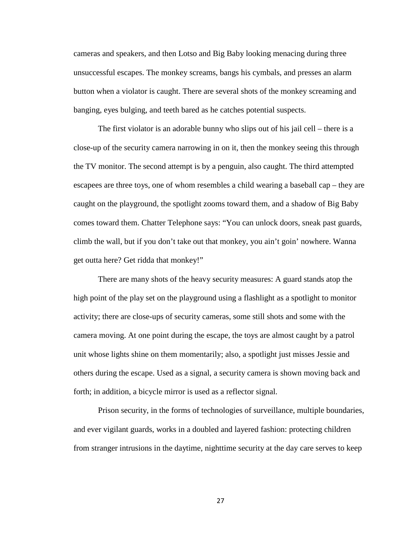cameras and speakers, and then Lotso and Big Baby looking menacing during three unsuccessful escapes. The monkey screams, bangs his cymbals, and presses an alarm button when a violator is caught. There are several shots of the monkey screaming and banging, eyes bulging, and teeth bared as he catches potential suspects.

The first violator is an adorable bunny who slips out of his jail cell – there is a close-up of the security camera narrowing in on it, then the monkey seeing this through the TV monitor. The second attempt is by a penguin, also caught. The third attempted escapees are three toys, one of whom resembles a child wearing a baseball cap – they are caught on the playground, the spotlight zooms toward them, and a shadow of Big Baby comes toward them. Chatter Telephone says: "You can unlock doors, sneak past guards, climb the wall, but if you don't take out that monkey, you ain't goin' nowhere. Wanna get outta here? Get ridda that monkey!"

There are many shots of the heavy security measures: A guard stands atop the high point of the play set on the playground using a flashlight as a spotlight to monitor activity; there are close-ups of security cameras, some still shots and some with the camera moving. At one point during the escape, the toys are almost caught by a patrol unit whose lights shine on them momentarily; also, a spotlight just misses Jessie and others during the escape. Used as a signal, a security camera is shown moving back and forth; in addition, a bicycle mirror is used as a reflector signal.

Prison security, in the forms of technologies of surveillance, multiple boundaries, and ever vigilant guards, works in a doubled and layered fashion: protecting children from stranger intrusions in the daytime, nighttime security at the day care serves to keep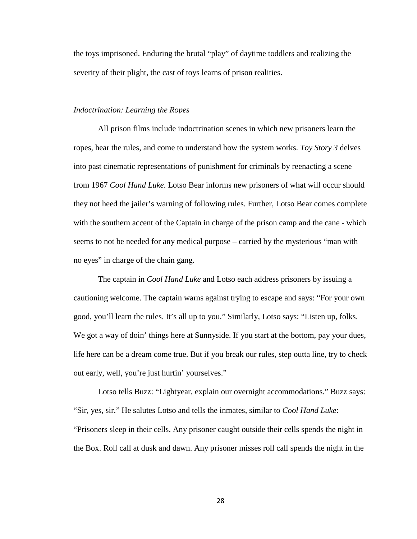the toys imprisoned. Enduring the brutal "play" of daytime toddlers and realizing the severity of their plight, the cast of toys learns of prison realities.

#### *Indoctrination: Learning the Ropes*

All prison films include indoctrination scenes in which new prisoners learn the ropes, hear the rules, and come to understand how the system works. *Toy Story 3* delves into past cinematic representations of punishment for criminals by reenacting a scene from 1967 *Cool Hand Luke*. Lotso Bear informs new prisoners of what will occur should they not heed the jailer's warning of following rules. Further, Lotso Bear comes complete with the southern accent of the Captain in charge of the prison camp and the cane - which seems to not be needed for any medical purpose – carried by the mysterious "man with no eyes" in charge of the chain gang.

The captain in *Cool Hand Luke* and Lotso each address prisoners by issuing a cautioning welcome. The captain warns against trying to escape and says: "For your own good, you'll learn the rules. It's all up to you." Similarly, Lotso says: "Listen up, folks. We got a way of doin' things here at Sunnyside. If you start at the bottom, pay your dues, life here can be a dream come true. But if you break our rules, step outta line, try to check out early, well, you're just hurtin' yourselves."

Lotso tells Buzz: "Lightyear, explain our overnight accommodations." Buzz says: "Sir, yes, sir." He salutes Lotso and tells the inmates, similar to *Cool Hand Luke*: "Prisoners sleep in their cells. Any prisoner caught outside their cells spends the night in the Box. Roll call at dusk and dawn. Any prisoner misses roll call spends the night in the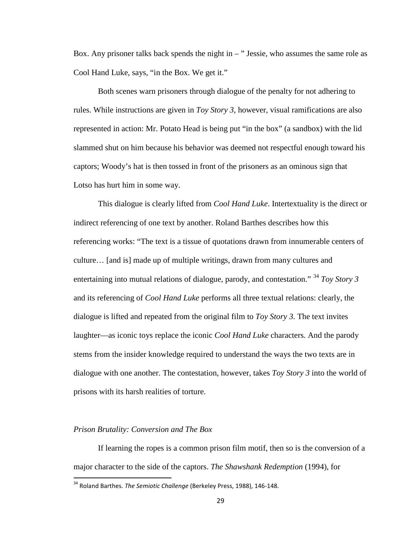Box. Any prisoner talks back spends the night in  $-$  " Jessie, who assumes the same role as Cool Hand Luke, says, "in the Box. We get it."

Both scenes warn prisoners through dialogue of the penalty for not adhering to rules. While instructions are given in *Toy Story 3*, however, visual ramifications are also represented in action: Mr. Potato Head is being put "in the box" (a sandbox) with the lid slammed shut on him because his behavior was deemed not respectful enough toward his captors; Woody's hat is then tossed in front of the prisoners as an ominous sign that Lotso has hurt him in some way.

This dialogue is clearly lifted from *Cool Hand Luke*. Intertextuality is the direct or indirect referencing of one text by another. Roland Barthes describes how this referencing works: "The text is a tissue of quotations drawn from innumerable centers of culture… [and is] made up of multiple writings, drawn from many cultures and entertaining into mutual relations of dialogue, parody, and contestation." [34](#page-32-0) *Toy Story 3*  and its referencing of *Cool Hand Luke* performs all three textual relations: clearly, the dialogue is lifted and repeated from the original film to *Toy Story 3*. The text invites laughter—as iconic toys replace the iconic *Cool Hand Luke* characters. And the parody stems from the insider knowledge required to understand the ways the two texts are in dialogue with one another. The contestation, however, takes *Toy Story 3* into the world of prisons with its harsh realities of torture.

#### *Prison Brutality: Conversion and The Box*

If learning the ropes is a common prison film motif, then so is the conversion of a major character to the side of the captors. *The Shawshank Redemption* (1994), for

<span id="page-32-0"></span> <sup>34</sup> Roland Barthes. *The Semiotic Challenge* (Berkeley Press, 1988), 146-148.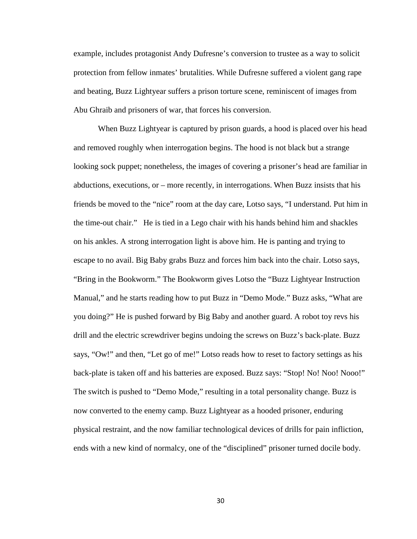example, includes protagonist Andy Dufresne's conversion to trustee as a way to solicit protection from fellow inmates' brutalities. While Dufresne suffered a violent gang rape and beating, Buzz Lightyear suffers a prison torture scene, reminiscent of images from Abu Ghraib and prisoners of war, that forces his conversion.

When Buzz Lightyear is captured by prison guards, a hood is placed over his head and removed roughly when interrogation begins. The hood is not black but a strange looking sock puppet; nonetheless, the images of covering a prisoner's head are familiar in abductions, executions, or – more recently, in interrogations. When Buzz insists that his friends be moved to the "nice" room at the day care, Lotso says, "I understand. Put him in the time-out chair." He is tied in a Lego chair with his hands behind him and shackles on his ankles. A strong interrogation light is above him. He is panting and trying to escape to no avail. Big Baby grabs Buzz and forces him back into the chair. Lotso says, "Bring in the Bookworm." The Bookworm gives Lotso the "Buzz Lightyear Instruction Manual," and he starts reading how to put Buzz in "Demo Mode." Buzz asks, "What are you doing?" He is pushed forward by Big Baby and another guard. A robot toy revs his drill and the electric screwdriver begins undoing the screws on Buzz's back-plate. Buzz says, "Ow!" and then, "Let go of me!" Lotso reads how to reset to factory settings as his back-plate is taken off and his batteries are exposed. Buzz says: "Stop! No! Noo! Nooo!" The switch is pushed to "Demo Mode," resulting in a total personality change. Buzz is now converted to the enemy camp. Buzz Lightyear as a hooded prisoner, enduring physical restraint, and the now familiar technological devices of drills for pain infliction, ends with a new kind of normalcy, one of the "disciplined" prisoner turned docile body.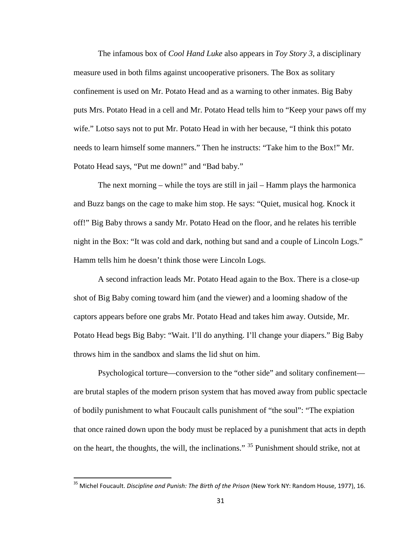The infamous box of *Cool Hand Luke* also appears in *Toy Story 3*, a disciplinary measure used in both films against uncooperative prisoners. The Box as solitary confinement is used on Mr. Potato Head and as a warning to other inmates. Big Baby puts Mrs. Potato Head in a cell and Mr. Potato Head tells him to "Keep your paws off my wife." Lotso says not to put Mr. Potato Head in with her because, "I think this potato needs to learn himself some manners." Then he instructs: "Take him to the Box!" Mr. Potato Head says, "Put me down!" and "Bad baby."

The next morning – while the toys are still in jail – Hamm plays the harmonica and Buzz bangs on the cage to make him stop. He says: "Quiet, musical hog. Knock it off!" Big Baby throws a sandy Mr. Potato Head on the floor, and he relates his terrible night in the Box: "It was cold and dark, nothing but sand and a couple of Lincoln Logs." Hamm tells him he doesn't think those were Lincoln Logs.

A second infraction leads Mr. Potato Head again to the Box. There is a close-up shot of Big Baby coming toward him (and the viewer) and a looming shadow of the captors appears before one grabs Mr. Potato Head and takes him away. Outside, Mr. Potato Head begs Big Baby: "Wait. I'll do anything. I'll change your diapers." Big Baby throws him in the sandbox and slams the lid shut on him.

Psychological torture—conversion to the "other side" and solitary confinement are brutal staples of the modern prison system that has moved away from public spectacle of bodily punishment to what Foucault calls punishment of "the soul": "The expiation that once rained down upon the body must be replaced by a punishment that acts in depth on the heart, the thoughts, the will, the inclinations." <sup>[35](#page-34-0)</sup> Punishment should strike, not at

<span id="page-34-0"></span> <sup>35</sup> Michel Foucault. *Discipline and Punish: The Birth of the Prison* (New York NY: Random House, 1977), 16.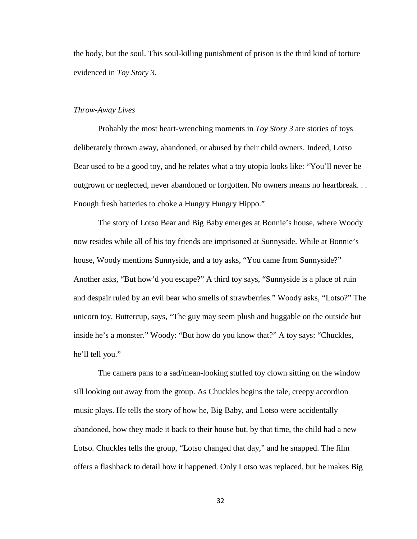the body, but the soul. This soul-killing punishment of prison is the third kind of torture evidenced in *Toy Story 3*.

#### *Throw-Away Lives*

Probably the most heart-wrenching moments in *Toy Story 3* are stories of toys deliberately thrown away, abandoned, or abused by their child owners. Indeed, Lotso Bear used to be a good toy, and he relates what a toy utopia looks like: "You'll never be outgrown or neglected, never abandoned or forgotten. No owners means no heartbreak. . . Enough fresh batteries to choke a Hungry Hungry Hippo."

The story of Lotso Bear and Big Baby emerges at Bonnie's house, where Woody now resides while all of his toy friends are imprisoned at Sunnyside. While at Bonnie's house, Woody mentions Sunnyside, and a toy asks, "You came from Sunnyside?" Another asks, "But how'd you escape?" A third toy says, "Sunnyside is a place of ruin and despair ruled by an evil bear who smells of strawberries." Woody asks, "Lotso?" The unicorn toy, Buttercup, says, "The guy may seem plush and huggable on the outside but inside he's a monster." Woody: "But how do you know that?" A toy says: "Chuckles, he'll tell you."

The camera pans to a sad/mean-looking stuffed toy clown sitting on the window sill looking out away from the group. As Chuckles begins the tale, creepy accordion music plays. He tells the story of how he, Big Baby, and Lotso were accidentally abandoned, how they made it back to their house but, by that time, the child had a new Lotso. Chuckles tells the group, "Lotso changed that day," and he snapped. The film offers a flashback to detail how it happened. Only Lotso was replaced, but he makes Big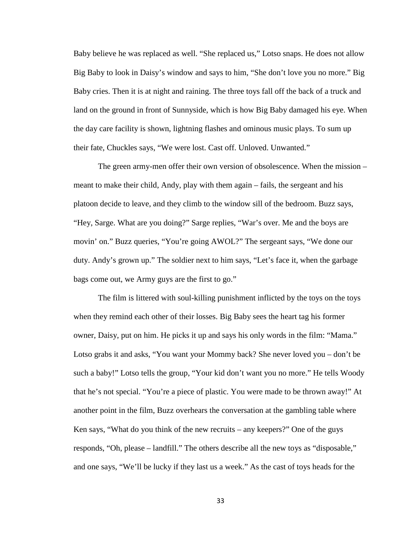Baby believe he was replaced as well. "She replaced us," Lotso snaps. He does not allow Big Baby to look in Daisy's window and says to him, "She don't love you no more." Big Baby cries. Then it is at night and raining. The three toys fall off the back of a truck and land on the ground in front of Sunnyside, which is how Big Baby damaged his eye. When the day care facility is shown, lightning flashes and ominous music plays. To sum up their fate, Chuckles says, "We were lost. Cast off. Unloved. Unwanted."

The green army-men offer their own version of obsolescence. When the mission – meant to make their child, Andy, play with them again – fails, the sergeant and his platoon decide to leave, and they climb to the window sill of the bedroom. Buzz says, "Hey, Sarge. What are you doing?" Sarge replies, "War's over. Me and the boys are movin' on." Buzz queries, "You're going AWOL?" The sergeant says, "We done our duty. Andy's grown up." The soldier next to him says, "Let's face it, when the garbage bags come out, we Army guys are the first to go."

The film is littered with soul-killing punishment inflicted by the toys on the toys when they remind each other of their losses. Big Baby sees the heart tag his former owner, Daisy, put on him. He picks it up and says his only words in the film: "Mama." Lotso grabs it and asks, "You want your Mommy back? She never loved you – don't be such a baby!" Lotso tells the group, "Your kid don't want you no more." He tells Woody that he's not special. "You're a piece of plastic. You were made to be thrown away!" At another point in the film, Buzz overhears the conversation at the gambling table where Ken says, "What do you think of the new recruits – any keepers?" One of the guys responds, "Oh, please – landfill." The others describe all the new toys as "disposable," and one says, "We'll be lucky if they last us a week." As the cast of toys heads for the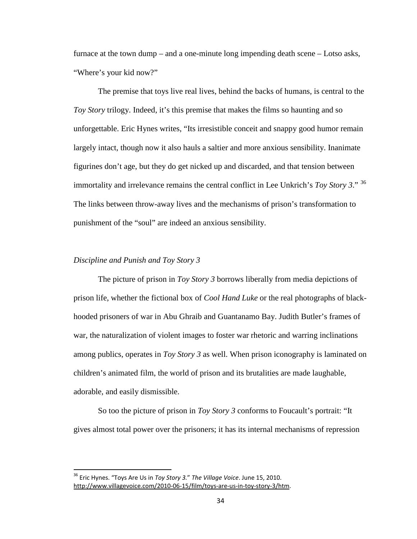furnace at the town dump – and a one-minute long impending death scene – Lotso asks, "Where's your kid now?"

The premise that toys live real lives, behind the backs of humans, is central to the *Toy Story* trilogy. Indeed, it's this premise that makes the films so haunting and so unforgettable. Eric Hynes writes, "Its irresistible conceit and snappy good humor remain largely intact, though now it also hauls a saltier and more anxious sensibility. Inanimate figurines don't age, but they do get nicked up and discarded, and that tension between immortality and irrelevance remains the central conflict in Lee Unkrich's *Toy Story 3*." [36](#page-37-0) The links between throw-away lives and the mechanisms of prison's transformation to punishment of the "soul" are indeed an anxious sensibility.

# *Discipline and Punish and Toy Story 3*

The picture of prison in *Toy Story 3* borrows liberally from media depictions of prison life, whether the fictional box of *Cool Hand Luke* or the real photographs of blackhooded prisoners of war in Abu Ghraib and Guantanamo Bay. Judith Butler's frames of war, the naturalization of violent images to foster war rhetoric and warring inclinations among publics, operates in *Toy Story 3* as well. When prison iconography is laminated on children's animated film, the world of prison and its brutalities are made laughable, adorable, and easily dismissible.

So too the picture of prison in *Toy Story 3* conforms to Foucault's portrait: "It gives almost total power over the prisoners; it has its internal mechanisms of repression

<span id="page-37-0"></span> <sup>36</sup> Eric Hynes. "Toys Are Us in *Toy Story 3.*" *The Village Voice*. June 15, 2010. [http://www.villagevoice.com/2010-06-15/film/toys-are-us-in-toy-story-3/htm.](http://www.villagevoice.com/2010-06-15/film/toys-are-us-in-toy-story-3/html)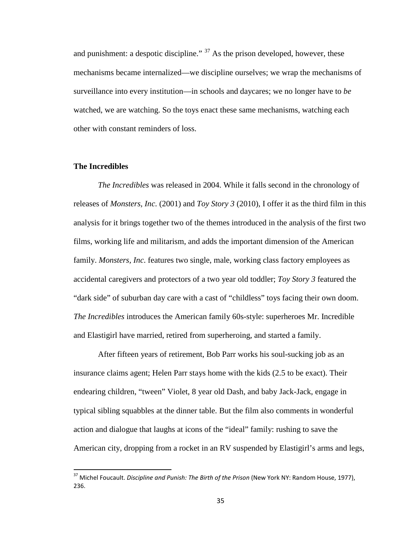and punishment: a despotic discipline."  $37$  As the prison developed, however, these mechanisms became internalized—we discipline ourselves; we wrap the mechanisms of surveillance into every institution—in schools and daycares; we no longer have to *be* watched, we are watching. So the toys enact these same mechanisms, watching each other with constant reminders of loss.

## **The Incredibles**

*The Incredibles* was released in 2004. While it falls second in the chronology of releases of *Monsters, Inc.* (2001) and *Toy Story 3* (2010), I offer it as the third film in this analysis for it brings together two of the themes introduced in the analysis of the first two films, working life and militarism, and adds the important dimension of the American family. *Monsters, Inc*. features two single, male, working class factory employees as accidental caregivers and protectors of a two year old toddler; *Toy Story 3* featured the "dark side" of suburban day care with a cast of "childless" toys facing their own doom. *The Incredibles* introduces the American family 60s-style: superheroes Mr. Incredible and Elastigirl have married, retired from superheroing, and started a family.

After fifteen years of retirement, Bob Parr works his soul-sucking job as an insurance claims agent; Helen Parr stays home with the kids (2.5 to be exact). Their endearing children, "tween" Violet, 8 year old Dash, and baby Jack-Jack, engage in typical sibling squabbles at the dinner table. But the film also comments in wonderful action and dialogue that laughs at icons of the "ideal" family: rushing to save the American city, dropping from a rocket in an RV suspended by Elastigirl's arms and legs,

<span id="page-38-0"></span> <sup>37</sup> Michel Foucault. *Discipline and Punish: The Birth of the Prison* (New York NY: Random House, 1977), 236.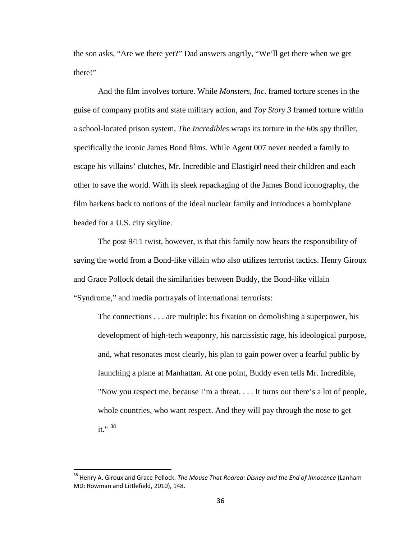the son asks, "Are we there yet?" Dad answers angrily, "We'll get there when we get there!"

And the film involves torture. While *Monsters, Inc*. framed torture scenes in the guise of company profits and state military action, and *Toy Story 3* framed torture within a school-located prison system, *The Incredibles* wraps its torture in the 60s spy thriller, specifically the iconic James Bond films. While Agent 007 never needed a family to escape his villains' clutches, Mr. Incredible and Elastigirl need their children and each other to save the world. With its sleek repackaging of the James Bond iconography, the film harkens back to notions of the ideal nuclear family and introduces a bomb/plane headed for a U.S. city skyline.

The post 9/11 twist, however, is that this family now bears the responsibility of saving the world from a Bond-like villain who also utilizes terrorist tactics. Henry Giroux and Grace Pollock detail the similarities between Buddy, the Bond-like villain "Syndrome," and media portrayals of international terrorists:

The connections . . . are multiple: his fixation on demolishing a superpower, his development of high-tech weaponry, his narcissistic rage, his ideological purpose, and, what resonates most clearly, his plan to gain power over a fearful public by launching a plane at Manhattan. At one point, Buddy even tells Mr. Incredible, "Now you respect me, because I'm a threat. . . . It turns out there's a lot of people, whole countries, who want respect. And they will pay through the nose to get it." $38$ 

<span id="page-39-0"></span> <sup>38</sup> Henry A. Giroux and Grace Pollock. *The Mouse That Roared: Disney and the End of Innocence* (Lanham MD: Rowman and Littlefield, 2010), 148.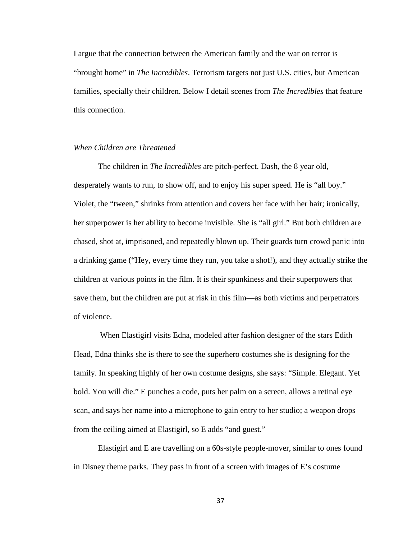I argue that the connection between the American family and the war on terror is "brought home" in *The Incredibles*. Terrorism targets not just U.S. cities, but American families, specially their children. Below I detail scenes from *The Incredibles* that feature this connection.

## *When Children are Threatened*

The children in *The Incredibles* are pitch-perfect. Dash, the 8 year old, desperately wants to run, to show off, and to enjoy his super speed. He is "all boy." Violet, the "tween," shrinks from attention and covers her face with her hair; ironically, her superpower is her ability to become invisible. She is "all girl." But both children are chased, shot at, imprisoned, and repeatedly blown up. Their guards turn crowd panic into a drinking game ("Hey, every time they run, you take a shot!), and they actually strike the children at various points in the film. It is their spunkiness and their superpowers that save them, but the children are put at risk in this film—as both victims and perpetrators of violence.

When Elastigirl visits Edna, modeled after fashion designer of the stars Edith Head, Edna thinks she is there to see the superhero costumes she is designing for the family. In speaking highly of her own costume designs, she says: "Simple. Elegant. Yet bold. You will die." E punches a code, puts her palm on a screen, allows a retinal eye scan, and says her name into a microphone to gain entry to her studio; a weapon drops from the ceiling aimed at Elastigirl, so E adds "and guest."

Elastigirl and E are travelling on a 60s-style people-mover, similar to ones found in Disney theme parks. They pass in front of a screen with images of E's costume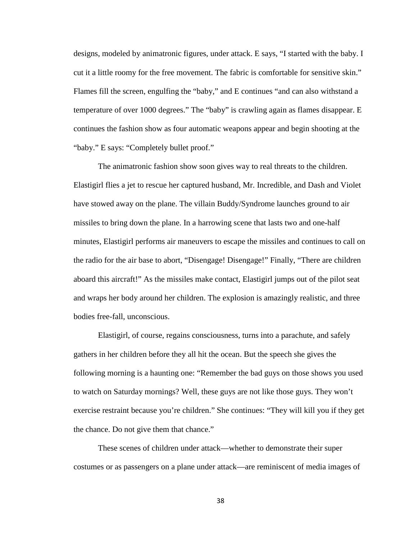designs, modeled by animatronic figures, under attack. E says, "I started with the baby. I cut it a little roomy for the free movement. The fabric is comfortable for sensitive skin." Flames fill the screen, engulfing the "baby," and E continues "and can also withstand a temperature of over 1000 degrees." The "baby" is crawling again as flames disappear. E continues the fashion show as four automatic weapons appear and begin shooting at the "baby." E says: "Completely bullet proof."

The animatronic fashion show soon gives way to real threats to the children. Elastigirl flies a jet to rescue her captured husband, Mr. Incredible, and Dash and Violet have stowed away on the plane. The villain Buddy/Syndrome launches ground to air missiles to bring down the plane. In a harrowing scene that lasts two and one-half minutes, Elastigirl performs air maneuvers to escape the missiles and continues to call on the radio for the air base to abort, "Disengage! Disengage!" Finally, "There are children aboard this aircraft!" As the missiles make contact, Elastigirl jumps out of the pilot seat and wraps her body around her children. The explosion is amazingly realistic, and three bodies free-fall, unconscious.

Elastigirl, of course, regains consciousness, turns into a parachute, and safely gathers in her children before they all hit the ocean. But the speech she gives the following morning is a haunting one: "Remember the bad guys on those shows you used to watch on Saturday mornings? Well, these guys are not like those guys. They won't exercise restraint because you're children." She continues: "They will kill you if they get the chance. Do not give them that chance."

These scenes of children under attack—whether to demonstrate their super costumes or as passengers on a plane under attack—are reminiscent of media images of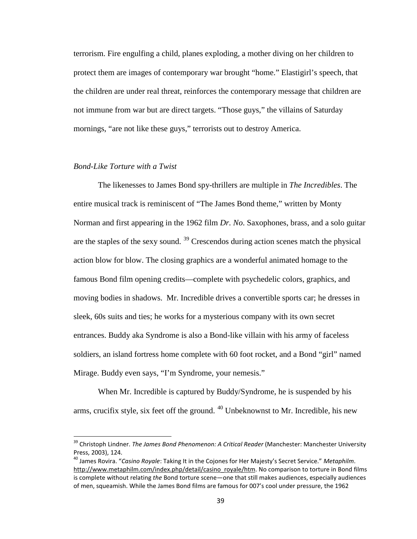terrorism. Fire engulfing a child, planes exploding, a mother diving on her children to protect them are images of contemporary war brought "home." Elastigirl's speech, that the children are under real threat, reinforces the contemporary message that children are not immune from war but are direct targets. "Those guys," the villains of Saturday mornings, "are not like these guys," terrorists out to destroy America.

## *Bond-Like Torture with a Twist*

The likenesses to James Bond spy-thrillers are multiple in *The Incredibles*. The entire musical track is reminiscent of "The James Bond theme," written by Monty Norman and first appearing in the 1962 film *Dr. No*. Saxophones, brass, and a solo guitar are the staples of the sexy sound.  $39$  Crescendos during action scenes match the physical action blow for blow. The closing graphics are a wonderful animated homage to the famous Bond film opening credits—complete with psychedelic colors, graphics, and moving bodies in shadows. Mr. Incredible drives a convertible sports car; he dresses in sleek, 60s suits and ties; he works for a mysterious company with its own secret entrances. Buddy aka Syndrome is also a Bond-like villain with his army of faceless soldiers, an island fortress home complete with 60 foot rocket, and a Bond "girl" named Mirage. Buddy even says, "I'm Syndrome, your nemesis."

When Mr. Incredible is captured by Buddy/Syndrome, he is suspended by his arms, crucifix style, six feet off the ground. <sup>[40](#page-42-1)</sup> Unbeknownst to Mr. Incredible, his new

<span id="page-42-0"></span> <sup>39</sup> Christoph Lindner. *The James Bond Phenomenon: A Critical Reader* (Manchester: Manchester University Press, 2003), 124.

<span id="page-42-1"></span><sup>40</sup> James Rovira. "*Casino Royale*: Taking It in the Cojones for Her Majesty's Secret Service." *Metaphilm*. [http://www.metaphilm.com/index.php/detail/casino\\_royale/htm.](http://www.metaphilm.com/index.php/detail/casino_royale/htm) No comparison to torture in Bond films is complete without relating *the* Bond torture scene—one that still makes audiences, especially audiences of men, squeamish. While the James Bond films are famous for 007's cool under pressure, the 1962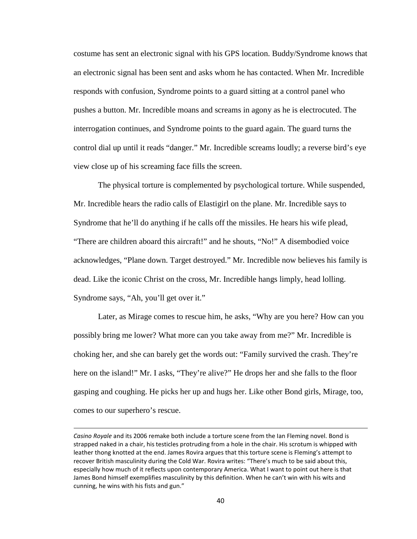costume has sent an electronic signal with his GPS location. Buddy/Syndrome knows that an electronic signal has been sent and asks whom he has contacted. When Mr. Incredible responds with confusion, Syndrome points to a guard sitting at a control panel who pushes a button. Mr. Incredible moans and screams in agony as he is electrocuted. The interrogation continues, and Syndrome points to the guard again. The guard turns the control dial up until it reads "danger." Mr. Incredible screams loudly; a reverse bird's eye view close up of his screaming face fills the screen.

The physical torture is complemented by psychological torture. While suspended, Mr. Incredible hears the radio calls of Elastigirl on the plane. Mr. Incredible says to Syndrome that he'll do anything if he calls off the missiles. He hears his wife plead, "There are children aboard this aircraft!" and he shouts, "No!" A disembodied voice acknowledges, "Plane down. Target destroyed." Mr. Incredible now believes his family is dead. Like the iconic Christ on the cross, Mr. Incredible hangs limply, head lolling. Syndrome says, "Ah, you'll get over it."

Later, as Mirage comes to rescue him, he asks, "Why are you here? How can you possibly bring me lower? What more can you take away from me?" Mr. Incredible is choking her, and she can barely get the words out: "Family survived the crash. They're here on the island!" Mr. I asks, "They're alive?" He drops her and she falls to the floor gasping and coughing. He picks her up and hugs her. Like other Bond girls, Mirage, too, comes to our superhero's rescue.

 $\overline{\phantom{0}}$ 

*Casino Royale* and its 2006 remake both include a torture scene from the Ian Fleming novel. Bond is strapped naked in a chair, his testicles protruding from a hole in the chair. His scrotum is whipped with leather thong knotted at the end. James Rovira argues that this torture scene is Fleming's attempt to recover British masculinity during the Cold War. Rovira writes: "There's much to be said about this, especially how much of it reflects upon contemporary America. What I want to point out here is that James Bond himself exemplifies masculinity by this definition. When he can't win with his wits and cunning, he wins with his fists and gun."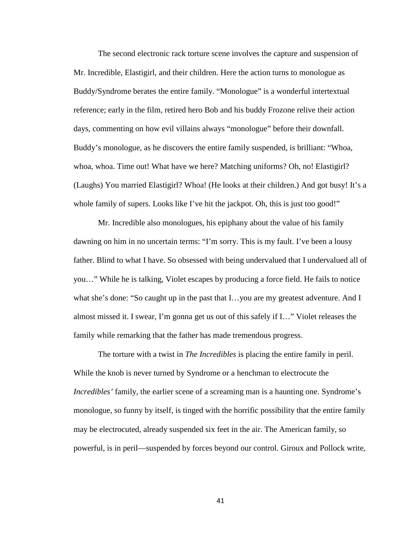The second electronic rack torture scene involves the capture and suspension of Mr. Incredible, Elastigirl, and their children. Here the action turns to monologue as Buddy/Syndrome berates the entire family. "Monologue" is a wonderful intertextual reference; early in the film, retired hero Bob and his buddy Frozone relive their action days, commenting on how evil villains always "monologue" before their downfall. Buddy's monologue, as he discovers the entire family suspended, is brilliant: "Whoa, whoa, whoa. Time out! What have we here? Matching uniforms? Oh, no! Elastigirl? (Laughs) You married Elastigirl? Whoa! (He looks at their children.) And got busy! It's a whole family of supers. Looks like I've hit the jackpot. Oh, this is just too good!"

Mr. Incredible also monologues, his epiphany about the value of his family dawning on him in no uncertain terms: "I'm sorry. This is my fault. I've been a lousy father. Blind to what I have. So obsessed with being undervalued that I undervalued all of you…" While he is talking, Violet escapes by producing a force field. He fails to notice what she's done: "So caught up in the past that I...you are my greatest adventure. And I almost missed it. I swear, I'm gonna get us out of this safely if I…" Violet releases the family while remarking that the father has made tremendous progress.

The torture with a twist in *The Incredibles* is placing the entire family in peril. While the knob is never turned by Syndrome or a henchman to electrocute the *Incredibles'* family, the earlier scene of a screaming man is a haunting one. Syndrome's monologue, so funny by itself, is tinged with the horrific possibility that the entire family may be electrocuted, already suspended six feet in the air. The American family, so powerful, is in peril—suspended by forces beyond our control. Giroux and Pollock write,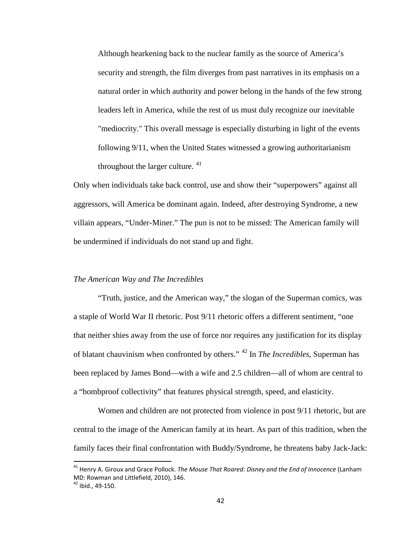Although hearkening back to the nuclear family as the source of America's security and strength, the film diverges from past narratives in its emphasis on a natural order in which authority and power belong in the hands of the few strong leaders left in America, while the rest of us must duly recognize our inevitable "mediocrity." This overall message is especially disturbing in light of the events following 9/11, when the United States witnessed a growing authoritarianism throughout the larger culture. [41](#page-45-0)

Only when individuals take back control, use and show their "superpowers" against all aggressors, will America be dominant again. Indeed, after destroying Syndrome, a new villain appears, "Under-Miner." The pun is not to be missed: The American family will be undermined if individuals do not stand up and fight.

#### *The American Way and The Incredibles*

"Truth, justice, and the American way," the slogan of the Superman comics, was a staple of World War II rhetoric. Post 9/11 rhetoric offers a different sentiment, "one that neither shies away from the use of force nor requires any justification for its display of blatant chauvinism when confronted by others." [42](#page-45-1) In *The Incredibles*, Superman has been replaced by James Bond—with a wife and 2.5 children—all of whom are central to a "bombproof collectivity" that features physical strength, speed, and elasticity.

Women and children are not protected from violence in post 9/11 rhetoric, but are central to the image of the American family at its heart. As part of this tradition, when the family faces their final confrontation with Buddy/Syndrome, he threatens baby Jack-Jack:

<span id="page-45-0"></span> <sup>41</sup> Henry A. Giroux and Grace Pollock. *The Mouse That Roared: Disney and the End of Innocence* (Lanham MD: Rowman and Littlefield, 2010), 146.

<span id="page-45-1"></span> $42$  Ibid., 49-150.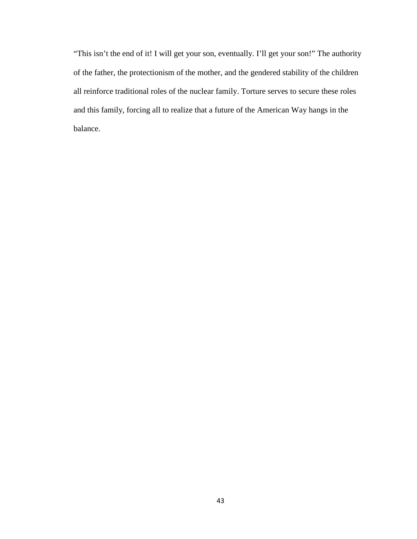"This isn't the end of it! I will get your son, eventually. I'll get your son!" The authority of the father, the protectionism of the mother, and the gendered stability of the children all reinforce traditional roles of the nuclear family. Torture serves to secure these roles and this family, forcing all to realize that a future of the American Way hangs in the balance.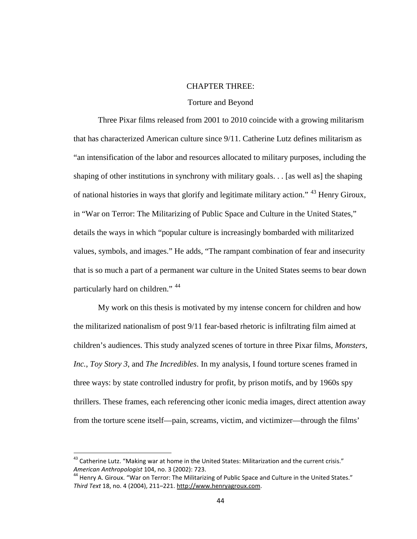# CHAPTER THREE:

#### Torture and Beyond

Three Pixar films released from 2001 to 2010 coincide with a growing militarism that has characterized American culture since 9/11. Catherine Lutz defines militarism as "an intensification of the labor and resources allocated to military purposes, including the shaping of other institutions in synchrony with military goals. . . [as well as] the shaping of national histories in ways that glorify and legitimate military action." [43](#page-47-0) Henry Giroux, in "War on Terror: The Militarizing of Public Space and Culture in the United States," details the ways in which "popular culture is increasingly bombarded with militarized values, symbols, and images." He adds, "The rampant combination of fear and insecurity that is so much a part of a permanent war culture in the United States seems to bear down particularly hard on children." [44](#page-47-1)

My work on this thesis is motivated by my intense concern for children and how the militarized nationalism of post 9/11 fear-based rhetoric is infiltrating film aimed at children's audiences. This study analyzed scenes of torture in three Pixar films*, Monsters, Inc.*, *Toy Story 3*, and *The Incredibles*. In my analysis, I found torture scenes framed in three ways: by state controlled industry for profit, by prison motifs, and by 1960s spy thrillers. These frames, each referencing other iconic media images, direct attention away from the torture scene itself—pain, screams, victim, and victimizer—through the films'

<span id="page-47-0"></span><sup>&</sup>lt;sup>43</sup> Catherine Lutz. "Making war at home in the United States: Militarization and the current crisis." *American Anthropologist* 104, no. 3 (2002): 723.

<span id="page-47-1"></span><sup>44</sup> Henry A. Giroux. "War on Terror: The Militarizing of Public Space and Culture in the United States." *Third Text* 18, no. 4 (2004), 211–221. [http://www.henryagroux.com.](http://www.henryagroux.com/)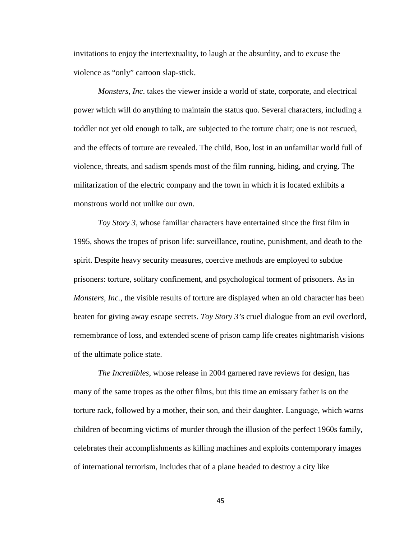invitations to enjoy the intertextuality, to laugh at the absurdity, and to excuse the violence as "only" cartoon slap-stick.

*Monsters, Inc*. takes the viewer inside a world of state, corporate, and electrical power which will do anything to maintain the status quo. Several characters, including a toddler not yet old enough to talk, are subjected to the torture chair; one is not rescued, and the effects of torture are revealed. The child, Boo, lost in an unfamiliar world full of violence, threats, and sadism spends most of the film running, hiding, and crying. The militarization of the electric company and the town in which it is located exhibits a monstrous world not unlike our own.

*Toy Story 3*, whose familiar characters have entertained since the first film in 1995, shows the tropes of prison life: surveillance, routine, punishment, and death to the spirit. Despite heavy security measures, coercive methods are employed to subdue prisoners: torture, solitary confinement, and psychological torment of prisoners. As in *Monsters, Inc., the visible results of torture are displayed when an old character has been* beaten for giving away escape secrets. *Toy Story 3'*s cruel dialogue from an evil overlord, remembrance of loss, and extended scene of prison camp life creates nightmarish visions of the ultimate police state.

*The Incredibles*, whose release in 2004 garnered rave reviews for design, has many of the same tropes as the other films, but this time an emissary father is on the torture rack, followed by a mother, their son, and their daughter. Language, which warns children of becoming victims of murder through the illusion of the perfect 1960s family, celebrates their accomplishments as killing machines and exploits contemporary images of international terrorism, includes that of a plane headed to destroy a city like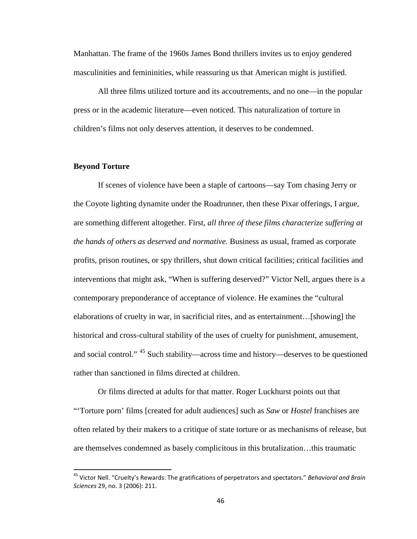Manhattan. The frame of the 1960s James Bond thrillers invites us to enjoy gendered masculinities and femininities, while reassuring us that American might is justified.

All three films utilized torture and its accoutrements, and no one—in the popular press or in the academic literature—even noticed. This naturalization of torture in children's films not only deserves attention, it deserves to be condemned.

#### **Beyond Torture**

If scenes of violence have been a staple of cartoons—say Tom chasing Jerry or the Coyote lighting dynamite under the Roadrunner, then these Pixar offerings, I argue, are something different altogether. First, *all three of these films characterize suffering at the hands of others as deserved and normative.* Business as usual, framed as corporate profits, prison routines, or spy thrillers, shut down critical facilities; critical facilities and interventions that might ask, "When is suffering deserved?" Victor Nell, argues there is a contemporary preponderance of acceptance of violence. He examines the "cultural elaborations of cruelty in war, in sacrificial rites, and as entertainment…[showing] the historical and cross-cultural stability of the uses of cruelty for punishment, amusement, and social control." <sup>[45](#page-49-0)</sup> Such stability—across time and history—deserves to be questioned rather than sanctioned in films directed at children.

Or films directed at adults for that matter. Roger Luckhurst points out that "'Torture porn' films [created for adult audiences] such as *Saw* or *Hostel* franchises are often related by their makers to a critique of state torture or as mechanisms of release, but are themselves condemned as basely complicitous in this brutalization…this traumatic

<span id="page-49-0"></span> <sup>45</sup> Victor Nell. "Cruelty's Rewards: The gratifications of perpetrators and spectators." *Behavioral and Brain Sciences* 29, no. 3 (2006): 211.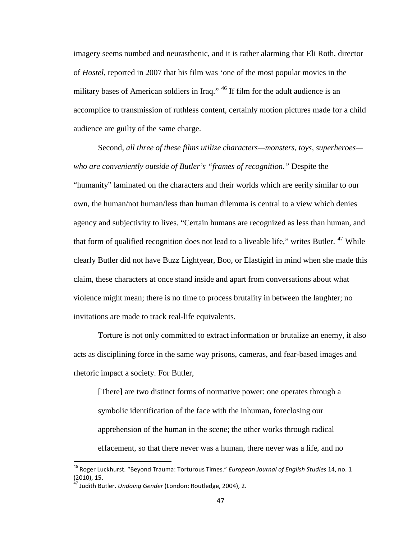imagery seems numbed and neurasthenic, and it is rather alarming that Eli Roth, director of *Hostel*, reported in 2007 that his film was 'one of the most popular movies in the military bases of American soldiers in Iraq." <sup>[46](#page-50-0)</sup> If film for the adult audience is an accomplice to transmission of ruthless content, certainly motion pictures made for a child audience are guilty of the same charge.

Second, *all three of these films utilize characters—monsters, toys, superheroes who are conveniently outside of Butler's "frames of recognition."* Despite the "humanity" laminated on the characters and their worlds which are eerily similar to our own, the human/not human/less than human dilemma is central to a view which denies agency and subjectivity to lives. "Certain humans are recognized as less than human, and that form of qualified recognition does not lead to a liveable life," writes Butler. <sup>[47](#page-50-1)</sup> While clearly Butler did not have Buzz Lightyear, Boo, or Elastigirl in mind when she made this claim, these characters at once stand inside and apart from conversations about what violence might mean; there is no time to process brutality in between the laughter; no invitations are made to track real-life equivalents.

Torture is not only committed to extract information or brutalize an enemy, it also acts as disciplining force in the same way prisons, cameras, and fear-based images and rhetoric impact a society. For Butler,

[There] are two distinct forms of normative power: one operates through a symbolic identification of the face with the inhuman, foreclosing our apprehension of the human in the scene; the other works through radical effacement, so that there never was a human, there never was a life, and no

<span id="page-50-0"></span> <sup>46</sup> Roger Luckhurst. "Beyond Trauma: Torturous Times." *European Journal of English Studies* 14, no. 1 (2010), 15.

<span id="page-50-1"></span><sup>&</sup>lt;sup>47</sup> Judith Butler. *Undoing Gender* (London: Routledge, 2004), 2.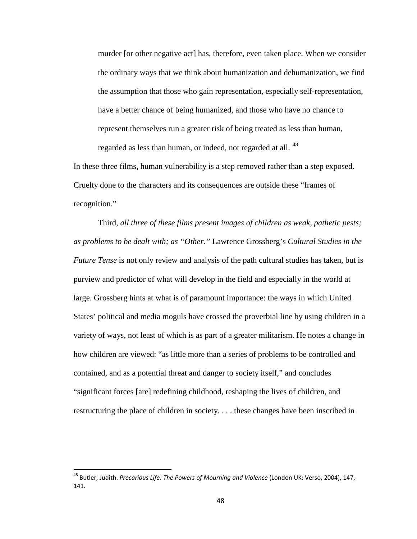murder [or other negative act] has, therefore, even taken place. When we consider the ordinary ways that we think about humanization and dehumanization, we find the assumption that those who gain representation, especially self-representation, have a better chance of being humanized, and those who have no chance to represent themselves run a greater risk of being treated as less than human, regarded as less than human, or indeed, not regarded at all.<sup>[48](#page-51-0)</sup>

In these three films, human vulnerability is a step removed rather than a step exposed. Cruelty done to the characters and its consequences are outside these "frames of recognition."

Third*, all three of these films present images of children as weak, pathetic pests; as problems to be dealt with; as "Other."* Lawrence Grossberg's *Cultural Studies in the Future Tense* is not only review and analysis of the path cultural studies has taken, but is purview and predictor of what will develop in the field and especially in the world at large. Grossberg hints at what is of paramount importance: the ways in which United States' political and media moguls have crossed the proverbial line by using children in a variety of ways, not least of which is as part of a greater militarism. He notes a change in how children are viewed: "as little more than a series of problems to be controlled and contained, and as a potential threat and danger to society itself," and concludes "significant forces [are] redefining childhood, reshaping the lives of children, and restructuring the place of children in society. . . . these changes have been inscribed in

<span id="page-51-0"></span> <sup>48</sup> Butler, Judith. *Precarious Life: The Powers of Mourning and Violence* (London UK: Verso, 2004), 147, 141.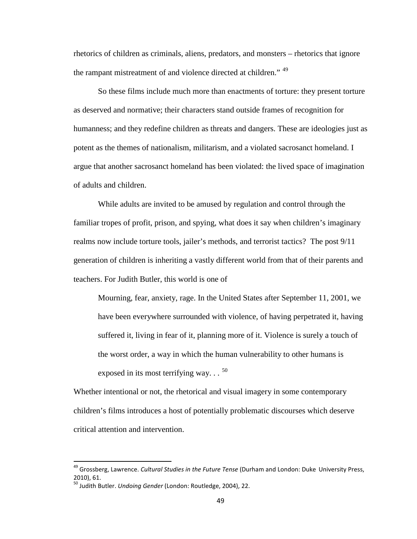rhetorics of children as criminals, aliens, predators, and monsters – rhetorics that ignore the rampant mistreatment of and violence directed at children." <sup>[49](#page-52-0)</sup>

So these films include much more than enactments of torture: they present torture as deserved and normative; their characters stand outside frames of recognition for humanness; and they redefine children as threats and dangers. These are ideologies just as potent as the themes of nationalism, militarism, and a violated sacrosanct homeland. I argue that another sacrosanct homeland has been violated: the lived space of imagination of adults and children.

While adults are invited to be amused by regulation and control through the familiar tropes of profit, prison, and spying, what does it say when children's imaginary realms now include torture tools, jailer's methods, and terrorist tactics? The post 9/11 generation of children is inheriting a vastly different world from that of their parents and teachers. For Judith Butler, this world is one of

Mourning, fear, anxiety, rage. In the United States after September 11, 2001, we have been everywhere surrounded with violence, of having perpetrated it, having suffered it, living in fear of it, planning more of it. Violence is surely a touch of the worst order, a way in which the human vulnerability to other humans is exposed in its most terrifying way.  $\cdot$ . <sup>[50](#page-52-1)</sup>

Whether intentional or not, the rhetorical and visual imagery in some contemporary children's films introduces a host of potentially problematic discourses which deserve critical attention and intervention.

<span id="page-52-0"></span> <sup>49</sup> Grossberg, Lawrence. *Cultural Studies in the Future Tense* (Durham and London: Duke University Press, 2010), 61.

<span id="page-52-1"></span><sup>50</sup> Judith Butler. *Undoing Gender* (London: Routledge, 2004), 22.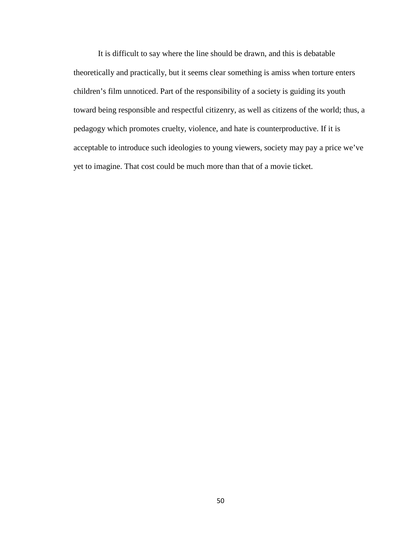It is difficult to say where the line should be drawn, and this is debatable theoretically and practically, but it seems clear something is amiss when torture enters children's film unnoticed. Part of the responsibility of a society is guiding its youth toward being responsible and respectful citizenry, as well as citizens of the world; thus, a pedagogy which promotes cruelty, violence, and hate is counterproductive. If it is acceptable to introduce such ideologies to young viewers, society may pay a price we've yet to imagine. That cost could be much more than that of a movie ticket.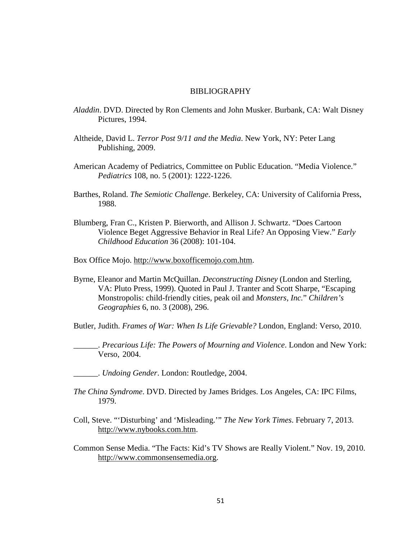#### BIBLIOGRAPHY

- *Aladdin*. DVD. Directed by Ron Clements and John Musker. Burbank, CA: Walt Disney Pictures, 1994.
- Altheide, David L. *Terror Post 9/11 and the Media*. New York, NY: Peter Lang Publishing, 2009.
- American Academy of Pediatrics, Committee on Public Education. "Media Violence." *Pediatrics* 108, no. 5 (2001): 1222-1226.
- Barthes, Roland. *The Semiotic Challenge*. Berkeley, CA: University of California Press, 1988.
- Blumberg, Fran C., Kristen P. Bierworth, and Allison J. Schwartz. "Does Cartoon Violence Beget Aggressive Behavior in Real Life? An Opposing View." *Early Childhood Education* 36 (2008): 101-104.
- Box Office Mojo. [http://www.boxofficemojo.com.htm.](http://www.boxofficemojo.com.htm/)
- Byrne, Eleanor and Martin McQuillan. *Deconstructing Disney* (London and Sterling, VA: Pluto Press, 1999). Quoted in Paul J. Tranter and Scott Sharpe, "Escaping Monstropolis: child-friendly cities, peak oil and *Monsters, Inc.*" *Children's Geographies* 6, no. 3 (2008), 296.

Butler, Judith. *Frames of War: When Is Life Grievable?* London, England: Verso, 2010.

\_\_\_\_\_\_. *Precarious Life: The Powers of Mourning and Violence*. London and New York: Verso, 2004.

\_\_\_\_\_\_. *Undoing Gender*. London: Routledge, 2004.

- *The China Syndrome*. DVD. Directed by James Bridges. Los Angeles, CA: IPC Films, 1979.
- Coll, Steve. "'Disturbing' and 'Misleading.'" *The New York Times*. February 7, 2013. [http://www.nybooks.com.htm.](http://www.nybooks.com.htm/)
- Common Sense Media. "The Facts: Kid's TV Shows are Really Violent." Nov. 19, 2010. [http://www.commonsensemedia.org.](http://www.commonsensemedia.org/)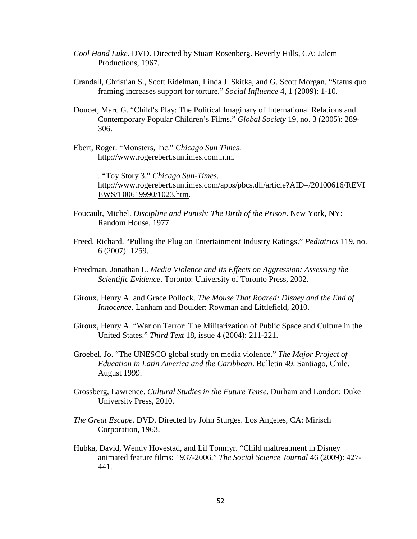- *Cool Hand Luke*. DVD. Directed by Stuart Rosenberg. Beverly Hills, CA: Jalem Productions, 1967.
- Crandall, Christian S., Scott Eidelman, Linda J. Skitka, and G. Scott Morgan. "Status quo framing increases support for torture." *Social Influence* 4, 1 (2009): 1-10.
- Doucet, Marc G. "Child's Play: The Political Imaginary of International Relations and Contemporary Popular Children's Films." *Global Society* 19, no. 3 (2005): 289- 306.
- Ebert, Roger. "Monsters, Inc." *Chicago Sun Times*. [http://www.rogerebert.suntimes.com.htm.](http://www.rogerebert.suntimes.com.htm/)

\_\_\_\_\_\_. "Toy Story 3." *Chicago Sun-Times*. [http://www.rogerebert.suntimes.com/apps/pbcs.dll/article?AID=/20100616/REVI](http://www.rogerebert.suntimes.com/apps/pbcs.dll/article?AID=/20100616/REVIEWS/1%0900619990/1023.htm) [EWS/100619990/1023.htm.](http://www.rogerebert.suntimes.com/apps/pbcs.dll/article?AID=/20100616/REVIEWS/1%0900619990/1023.htm)

- Foucault, Michel. *Discipline and Punish: The Birth of the Prison*. New York, NY: Random House, 1977.
- Freed, Richard. "Pulling the Plug on Entertainment Industry Ratings." *Pediatrics* 119, no. 6 (2007): 1259.
- Freedman, Jonathan L. *Media Violence and Its Effects on Aggression: Assessing the Scientific Evidence*. Toronto: University of Toronto Press, 2002.
- Giroux, Henry A. and Grace Pollock. *The Mouse That Roared: Disney and the End of Innocence*. Lanham and Boulder: Rowman and Littlefield, 2010.
- Giroux, Henry A. "War on Terror: The Militarization of Public Space and Culture in the United States." *Third Text* 18, issue 4 (2004): 211-221.
- Groebel, Jo. "The UNESCO global study on media violence." *The Major Project of Education in Latin America and the Caribbean*. Bulletin 49. Santiago, Chile. August 1999.
- Grossberg, Lawrence. *Cultural Studies in the Future Tense*. Durham and London: Duke University Press, 2010.
- *The Great Escape*. DVD. Directed by John Sturges. Los Angeles, CA: Mirisch Corporation, 1963.
- Hubka, David, Wendy Hovestad, and Lil Tonmyr. "Child maltreatment in Disney animated feature films: 1937-2006." *The Social Science Journal* 46 (2009): 427- 441.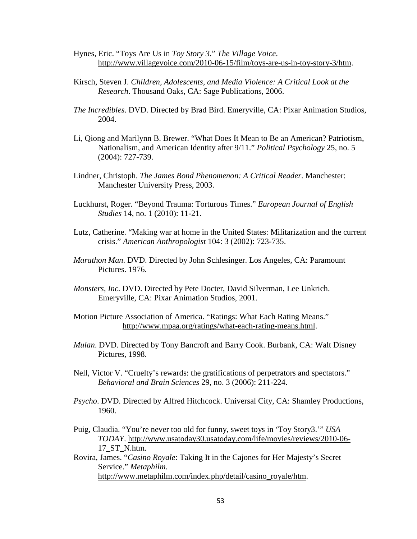- Hynes, Eric. "Toys Are Us in *Toy Story 3*." *The Village Voice*. [http://www.villagevoice.com/2010-06-15/film/toys-are-us-in-toy-story-3/htm.](http://www.villagevoice.com/2010-06-15/film/toys-are-us-in-toy-story-3/htm)
- Kirsch, Steven J. *Children, Adolescents, and Media Violence: A Critical Look at the Research*. Thousand Oaks, CA: Sage Publications, 2006.
- *The Incredibles*. DVD. Directed by Brad Bird. Emeryville, CA: Pixar Animation Studios, 2004.
- Li, Qiong and Marilynn B. Brewer. "What Does It Mean to Be an American? Patriotism, Nationalism, and American Identity after 9/11." *Political Psychology* 25, no. 5 (2004): 727-739.
- Lindner, Christoph. *The James Bond Phenomenon: A Critical Reader*. Manchester: Manchester University Press, 2003.
- Luckhurst, Roger. "Beyond Trauma: Torturous Times." *European Journal of English Studies* 14, no. 1 (2010): 11-21.
- Lutz, Catherine. "Making war at home in the United States: Militarization and the current crisis." *American Anthropologist* 104: 3 (2002): 723-735.
- *Marathon Man*. DVD. Directed by John Schlesinger. Los Angeles, CA: Paramount Pictures. 1976.
- *Monsters, Inc.* DVD. Directed by Pete Docter, David Silverman, Lee Unkrich. Emeryville, CA: Pixar Animation Studios, 2001.
- Motion Picture Association of America. "Ratings: What Each Rating Means." [http://www.mpaa.org/ratings/what-each-rating-means.html.](http://www.mpaa.org/ratings/what-each-rating-means.html)
- *Mulan*. DVD. Directed by Tony Bancroft and Barry Cook. Burbank, CA: Walt Disney Pictures, 1998.
- Nell, Victor V. "Cruelty's rewards: the gratifications of perpetrators and spectators." *Behavioral and Brain Sciences* 29, no. 3 (2006): 211-224.
- *Psycho*. DVD. Directed by Alfred Hitchcock. Universal City, CA: Shamley Productions, 1960.
- Puig, Claudia. "You're never too old for funny, sweet toys in 'Toy Story3.'" *USA TODAY*. [http://www.usatoday30.usatoday.com/life/movies/reviews/2010-06-](http://www.usatoday30.usatoday.com/life/movies/reviews/2010-06-17_ST_N.htm) [17\\_ST\\_N.htm.](http://www.usatoday30.usatoday.com/life/movies/reviews/2010-06-17_ST_N.htm)
- Rovira, James. "*Casino Royale*: Taking It in the Cajones for Her Majesty's Secret Service." *Metaphilm*. [http://www.metaphilm.com/index.php/detail/casino\\_royale/htm.](http://www.metaphilm.com/index.php/detail/casino_royale/htm)